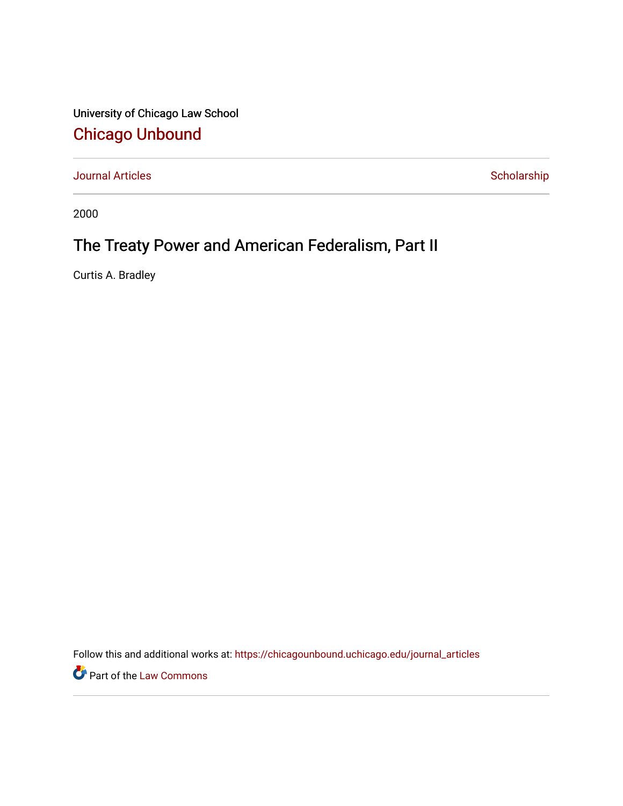University of Chicago Law School [Chicago Unbound](https://chicagounbound.uchicago.edu/)

[Journal Articles](https://chicagounbound.uchicago.edu/journal_articles) **Scholarship** Scholarship

2000

# The Treaty Power and American Federalism, Part II

Curtis A. Bradley

Follow this and additional works at: [https://chicagounbound.uchicago.edu/journal\\_articles](https://chicagounbound.uchicago.edu/journal_articles?utm_source=chicagounbound.uchicago.edu%2Fjournal_articles%2F10212&utm_medium=PDF&utm_campaign=PDFCoverPages) 

**P** Part of the [Law Commons](http://network.bepress.com/hgg/discipline/578?utm_source=chicagounbound.uchicago.edu%2Fjournal_articles%2F10212&utm_medium=PDF&utm_campaign=PDFCoverPages)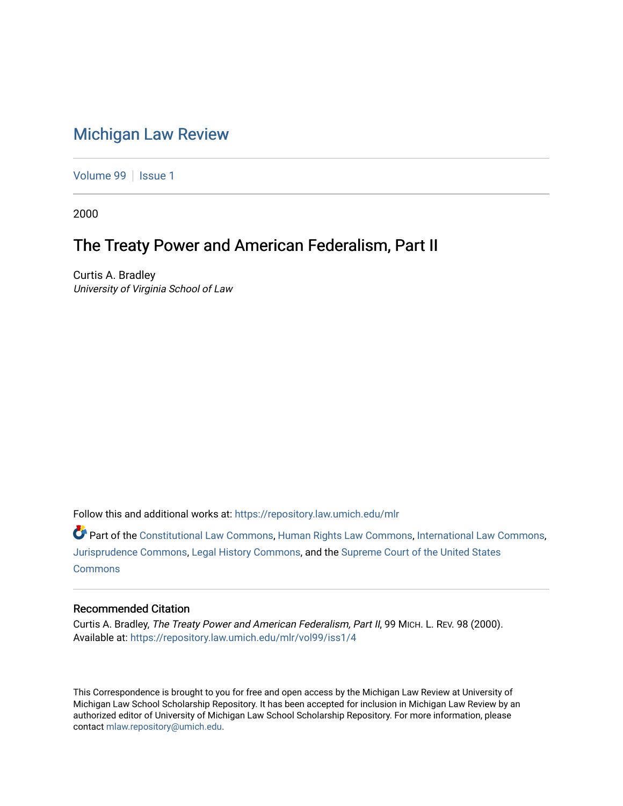## [Michigan Law Review](https://repository.law.umich.edu/mlr)

[Volume 99](https://repository.law.umich.edu/mlr/vol99) | [Issue 1](https://repository.law.umich.edu/mlr/vol99/iss1)

2000

## The Treaty Power and American Federalism, Part II

Curtis A. Bradley University of Virginia School of Law

Follow this and additional works at: [https://repository.law.umich.edu/mlr](https://repository.law.umich.edu/mlr?utm_source=repository.law.umich.edu%2Fmlr%2Fvol99%2Fiss1%2F4&utm_medium=PDF&utm_campaign=PDFCoverPages) 

Part of the [Constitutional Law Commons,](http://network.bepress.com/hgg/discipline/589?utm_source=repository.law.umich.edu%2Fmlr%2Fvol99%2Fiss1%2F4&utm_medium=PDF&utm_campaign=PDFCoverPages) [Human Rights Law Commons,](http://network.bepress.com/hgg/discipline/847?utm_source=repository.law.umich.edu%2Fmlr%2Fvol99%2Fiss1%2F4&utm_medium=PDF&utm_campaign=PDFCoverPages) [International Law Commons](http://network.bepress.com/hgg/discipline/609?utm_source=repository.law.umich.edu%2Fmlr%2Fvol99%2Fiss1%2F4&utm_medium=PDF&utm_campaign=PDFCoverPages), [Jurisprudence Commons](http://network.bepress.com/hgg/discipline/610?utm_source=repository.law.umich.edu%2Fmlr%2Fvol99%2Fiss1%2F4&utm_medium=PDF&utm_campaign=PDFCoverPages), [Legal History Commons,](http://network.bepress.com/hgg/discipline/904?utm_source=repository.law.umich.edu%2Fmlr%2Fvol99%2Fiss1%2F4&utm_medium=PDF&utm_campaign=PDFCoverPages) and the [Supreme Court of the United States](http://network.bepress.com/hgg/discipline/1350?utm_source=repository.law.umich.edu%2Fmlr%2Fvol99%2Fiss1%2F4&utm_medium=PDF&utm_campaign=PDFCoverPages)  [Commons](http://network.bepress.com/hgg/discipline/1350?utm_source=repository.law.umich.edu%2Fmlr%2Fvol99%2Fiss1%2F4&utm_medium=PDF&utm_campaign=PDFCoverPages)

### Recommended Citation

Curtis A. Bradley, The Treaty Power and American Federalism, Part II, 99 MICH. L. REV. 98 (2000). Available at: [https://repository.law.umich.edu/mlr/vol99/iss1/4](https://repository.law.umich.edu/mlr/vol99/iss1/4?utm_source=repository.law.umich.edu%2Fmlr%2Fvol99%2Fiss1%2F4&utm_medium=PDF&utm_campaign=PDFCoverPages)

This Correspondence is brought to you for free and open access by the Michigan Law Review at University of Michigan Law School Scholarship Repository. It has been accepted for inclusion in Michigan Law Review by an authorized editor of University of Michigan Law School Scholarship Repository. For more information, please contact [mlaw.repository@umich.edu](mailto:mlaw.repository@umich.edu).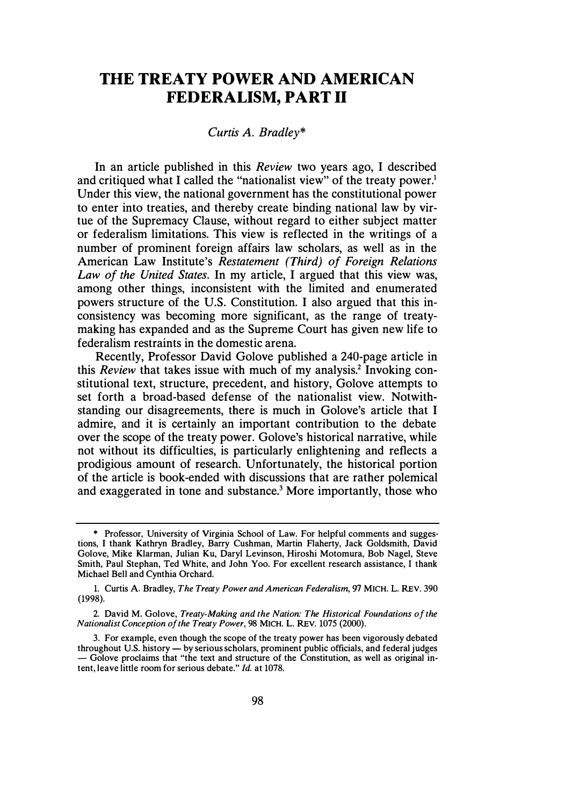## THE TREATY POWER AND AMERICAN FEDERALISM, PART II

### Curtis A. Bradley\*

In an article published in this Review two years ago, I described and critiqued what I called the "nationalist view" of the treaty power.<sup>1</sup> Under this view, the national government has the constitutional power to enter into treaties, and thereby create binding national law by virtue of the Supremacy Clause, without regard to either subject matter or federalism limitations. This view is reflected in the writings of a number of prominent foreign affairs law scholars, as well as in the American Law Institute's Restatement (Third) of Foreign Relations Law of the United States. In my article, I argued that this view was, among other things, inconsistent with the limited and enumerated powers structure of the U.S. Constitution. I also argued that this inconsistency was becoming more significant, as the range of treatymaking has expanded and as the Supreme Court has given new life to federalism restraints in the domestic arena.

Recently, Professor David Golove published a 240-page article in this Review that takes issue with much of my analysis.<sup>2</sup> Invoking constitutional text, structure, precedent, and history, Golove attempts to set forth a broad-based defense of the nationalist view. Notwithstanding our disagreements, there is much in Golove's article that I admire, and it is certainly an important contribution to the debate over the scope of the treaty power. Golove's historical narrative, while not without its difficulties, is particularly enlightening and reflects a prodigious amount of research. Unfortunately, the historical portion of the article is book-ended with discussions that are rather polemical and exaggerated in tone and substance.3 More importantly, those who

<sup>\*</sup> Professor, University of Virginia School of Law. For helpful comments and suggestions, I thank Kathryn Bradley, Barry Cushman, Martin Flaherty, Jack Goldsmith, David Golove, Mike Klarman, Julian Ku, Daryl Levinson, Hiroshi Motomura, Bob Nagel, Steve Smith, Paul Stephan, Ted White, and John Yoo. For excellent research assistance, I thank Michael Bell and Cynthia Orchard.

<sup>1.</sup> Curtis A. Bradley, The Treaty Power and American Federalism, 97 MICH. L. REV. 390 (1998).

<sup>2.</sup> David M. Golove, Treaty-Making and the Nation: The Historical Foundations of the Nationalist Conception of the Treaty Power, 98 MICH. L. REV. 1075 (2000).

<sup>3.</sup> For example, even though the scope of the treaty power has been vigorously debated throughout U.S. history — by serious scholars, prominent public officials, and federal judges - Golove proclaims that "the text and structure of the Constitution, as well as original intent, leave little room for serious debate." Id. at 1078.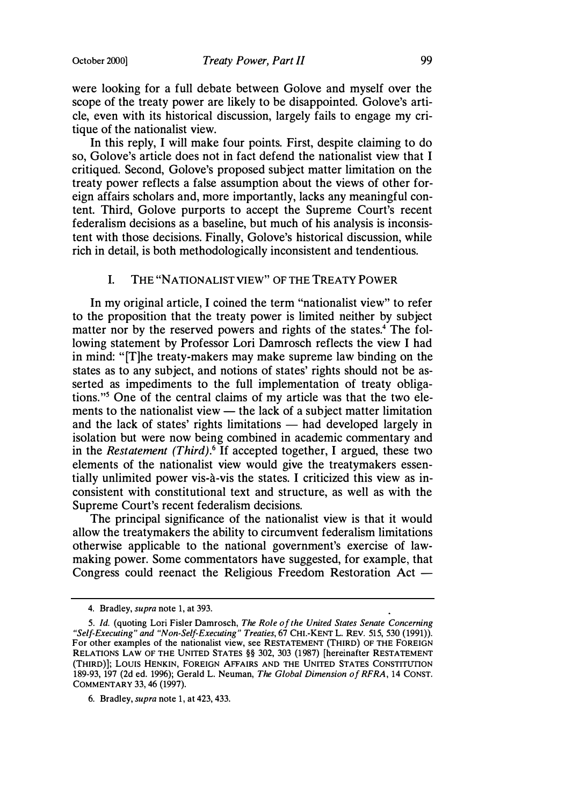were looking for a full debate between Golove and myself over the scope of the treaty power are likely to be disappointed. Golove's article, even with its historical discussion, largely fails to engage my critique of the nationalist view.

In this reply, I will make four points. First, despite claiming to do so, Golove's article does not in fact defend the nationalist view that I critiqued. Second, Golove's proposed subject matter limitation on the treaty power reflects a false assumption about the views of other foreign affairs scholars and, more importantly, lacks any meaningful content. Third, Golove purports to accept the Supreme Court's recent federalism decisions as a baseline, but much of his analysis is inconsistent with those decisions. Finally, Golove's historical discussion, while rich in detail, is both methodologically inconsistent and tendentious.

#### I. THE "NATIONALIST VIEW" OF THE TREATY POWER

In my original article, I coined the term "nationalist view" to refer to the proposition that the treaty power is limited neither by subject matter nor by the reserved powers and rights of the states.<sup>4</sup> The following statement by Professor Lori Damrosch reflects the view I had in mind: " [T]he treaty-makers may make supreme law binding on the states as to any subject, and notions of states' rights should not be asserted as impediments to the full implementation of treaty obligations."5 One of the central claims of my article was that the two elements to the nationalist view  $-$  the lack of a subject matter limitation and the lack of states' rights limitations  $-$  had developed largely in isolation but were now being combined in academic commentary and in the Restatement (Third).<sup>6</sup> If accepted together, I argued, these two elements of the nationalist view would give the treatymakers essentially unlimited power vis-à-vis the states. I criticized this view as inconsistent with constitutional text and structure, as well as with the Supreme Court's recent federalism decisions.

The principal significance of the nationalist view is that it would allow the treatymakers the ability to circumvent federalism limitations otherwise applicable to the national government's exercise of lawmaking power. Some commentators have suggested, for example, that Congress could reenact the Religious Freedom Restoration Act  $-$ 

<sup>4.</sup> Bradley, supra note 1, at 393.

<sup>5.</sup> Id. (quoting Lori Fisler Damrosch, The Role of the United States Senate Concerning "Self-Executing" and "Non-Self-Executing" Treaties, 67 CHI.-KENT L. REV. 515, 530 (1991)). For other examples of the nationalist view, see RESTATEMENT (THIRD) OF THE FOREIGN RELATIONS LAW OF THE UNITED STATES §§ 302, 303 (1987) [hereinafter RESTATEMENT (THIRD)); Lours HENKIN, FOREIGN AFFAIRS AND THE UNITED STATES CONSTITUTION 189-93, 197 (2d ed. 1996); Gerald L. Neuman, The Global Dimension of RFRA, 14 CONST. COMMENTARY 33, 46 (1997).

<sup>6.</sup> Bradley, supra note 1, at 423, 433.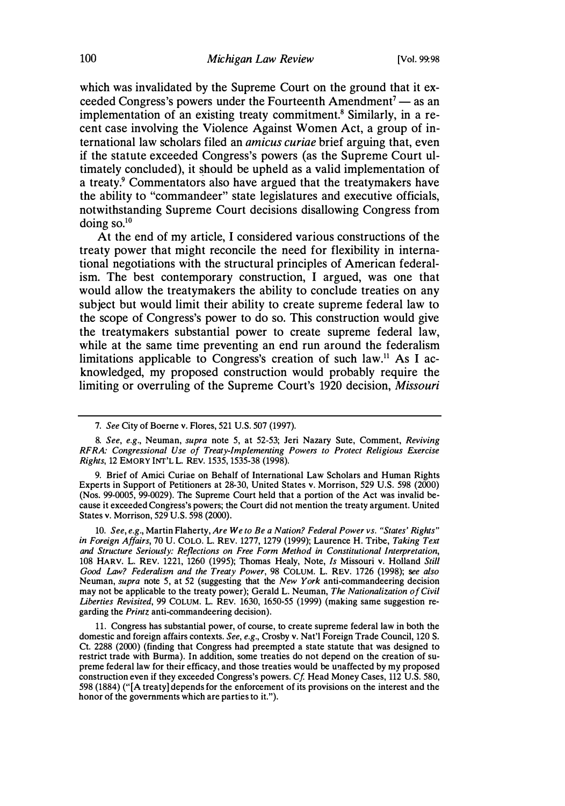which was invalidated by the Supreme Court on the ground that it exceeded Congress's powers under the Fourteenth Amendment<sup>7</sup>  $-$  as an implementation of an existing treaty commitment.<sup>8</sup> Similarly, in a recent case involving the Violence Against Women Act, a group of international law scholars filed an *amicus curiae* brief arguing that, even if the statute exceeded Congress's powers (as the Supreme Court ultimately concluded), it should be upheld as a valid implementation of a treaty.9 Commentators also have argued that the treatymakers have the ability to "commandeer" state legislatures and executive officials, notwithstanding Supreme Court decisions disallowing Congress from doing so. $10$ 

At the end of my article, I considered various constructions of the treaty power that might reconcile the need for flexibility in international negotiations with the structural principles of American federalism. The best contemporary construction, I argued, was one that would allow the treatymakers the ability to conclude treaties on any subject but would limit their ability to create supreme federal law to the scope of Congress's power to do so. This construction would give the treatymakers substantial power to create supreme federal law, while at the same time preventing an end run around the federalism limitations applicable to Congress's creation of such law.<sup>11</sup> As I acknowledged, my proposed construction would probably require the limiting or overruling of the Supreme Court's 1920 decision, Missouri

9. Brief of Amici Curiae on Behalf of International Law Scholars and Human Rights Experts in Support of Petitioners at 28-30, United States v. Morrison, 529 U.S. 598 (2000) (Nos. 99-0005, 99-0029). The Supreme Court held that a portion of the Act was invalid because it exceeded Congress's powers; the Court did not mention the treaty argument. United States v. Morrison, 529 U.S. 598 (2000).

10. See, e.g., Martin Flaherty, Are We to Be a Nation? Federal Power vs. "States' Rights" in Foreign Affairs, 70 U. COLO. L. REV. 1277, 1279 (1999); Laurence H. Tribe, Taking Text and Structure Seriously: Reflections on Free Form Method in Constitutional Interpretation, 108 HARV. L. REV. 1221, 1260 (1995); Thomas Healy, Note, Is Missouri v. Holland Still Good Law? Federalism and the Treaty Power, 98 COLUM. L. REV. 1726 (1998); see also Neuman, supra note 5, at 52 (suggesting that the New York anti-commandeering decision may not be applicable to the treaty power); Gerald L. Neuman, The Nationalization of Civil Liberties Revisited, 99 COLUM. L. REV. 1630, 1650-55 (1999) (making same suggestion regarding the Printz anti-commandeering decision).

11. Congress has substantial power, of course, to create supreme federal Jaw in both the domestic and foreign affairs contexts. See, e.g., Crosby v. Nat'l Foreign Trade Council, 120 S. Ct. 2288 (2000) (finding that Congress had preempted a state statute that was designed to restrict trade with Burma). In addition, some treaties do not depend on the creation of supreme federal law for their efficacy, and those treaties would be unaffected by my proposed construction even if they exceeded Congress's powers. Cf. Head Money Cases, 112 U.S. 580, 598 (1884) ("[A treaty] depends for the enforcement of its provisions on the interest and the honor of the governments which are parties to it.").

<sup>7.</sup> See City of Boerne v. Flores, 521 U.S. 507 (1997).

<sup>8.</sup> See, e.g., Neuman, *supra* note 5, at 52-53; Jeri Nazary Sute, Comment, Reviving RFRA: Congressional Use of Treaty-Implementing Powers to Protect Religious Exercise Rights, 12 EMORY INT'L L. REV. 1535, 1535-38 (1998).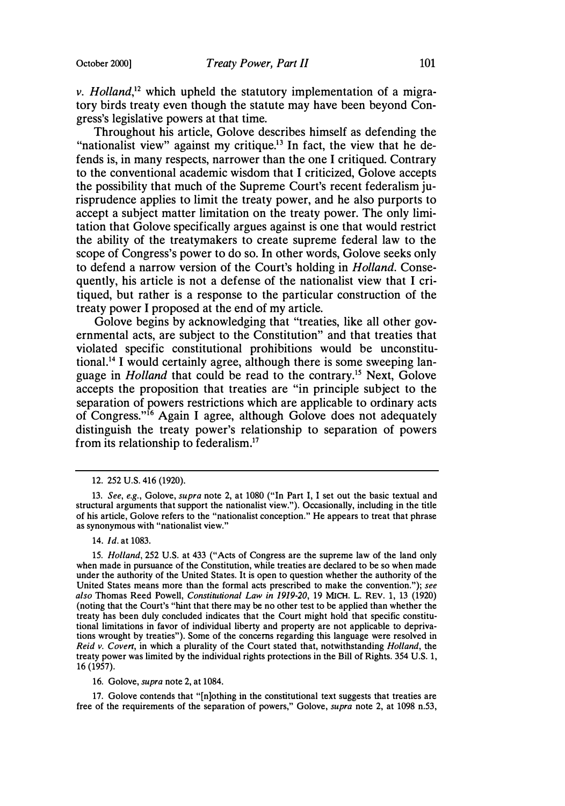$\nu$ . *Holland*,<sup>12</sup> which upheld the statutory implementation of a migratory birds treaty even though the statute may have been beyond Congress's legislative powers at that time.

Throughout his article, Golove describes himself as defending the "nationalist view" against my critique.<sup>13</sup> In fact, the view that he defends is, in many respects, narrower than the one I critiqued. Contrary to the conventional academic wisdom that I criticized, Golove accepts the possibility that much of the Supreme Court's recent federalism jurisprudence applies to limit the treaty power, and he also purports to accept a subject matter limitation on the treaty power. The only limitation that Golove specifically argues against is one that would restrict the ability of the treatymakers to create supreme federal law to the scope of Congress's power to do so. In other words, Golove seeks only to defend a narrow version of the Court's holding in Holland. Consequently, his article is not a defense of the nationalist view that I critiqued, but rather is a response to the particular construction of the treaty power I proposed at the end of my article.

Golove begins by acknowledging that "treaties, like all other governmental acts, are subject to the Constitution" and that treaties that violated specific constitutional prohibitions would be unconstitutional.14 I would certainly agree, although there is some sweeping language in Holland that could be read to the contrary.15 Next, Golove accepts the proposition that treaties are "in principle subject to the separation of powers restrictions which are applicable to ordinary acts of Congress."16 Again I agree, although Golove does not adequately distinguish the treaty power's relationship to separation of powers from its relationship to federalism.17

14. Id. at 1083.

16. Golove, supra note 2, at 1084.

17. Golove contends that "[n]othing in the constitutional text suggests that treaties are free of the requirements of the separation of powers," Golove, supra note 2, at 1098 n.53,

<sup>12. 252</sup> U.S. 416 (1920).

<sup>13.</sup> See, e.g., Golove, supra note 2, at 1080 ("In Part I, I set out the basic textual and structural arguments that support the nationalist view."). Occasionally, including in the title of his article, Golove refers to the "nationalist conception." He appears to treat that phrase as synonymous with "nationalist view."

<sup>15.</sup> Holland, 252 U.S. at 433 ("Acts of Congress are the supreme law of the land only when made in pursuance of the Constitution, while treaties are declared to be so when made under the authority of the United States. It is open to question whether the authority of the United States means more than the formal acts prescribed to make the convention."); see also Thomas Reed Powell, Constitutional Law in 1919-20, 19 MICH. L. REV. 1, 13 (1920) (noting that the Court's "hint that there may be no other test to be applied than whether the treaty has been duly concluded indicates that the Court might hold that specific constitutional limitations in favor of individual liberty and property are not applicable to deprivations wrought by treaties"). Some of the concerns regarding this language were resolved in Reid v. Covert, in which a plurality of the Court stated that, notwithstanding Holland, the treaty power was limited by the individual rights protections in the Bill of Rights. 354 U.S. 1, 16 (1957).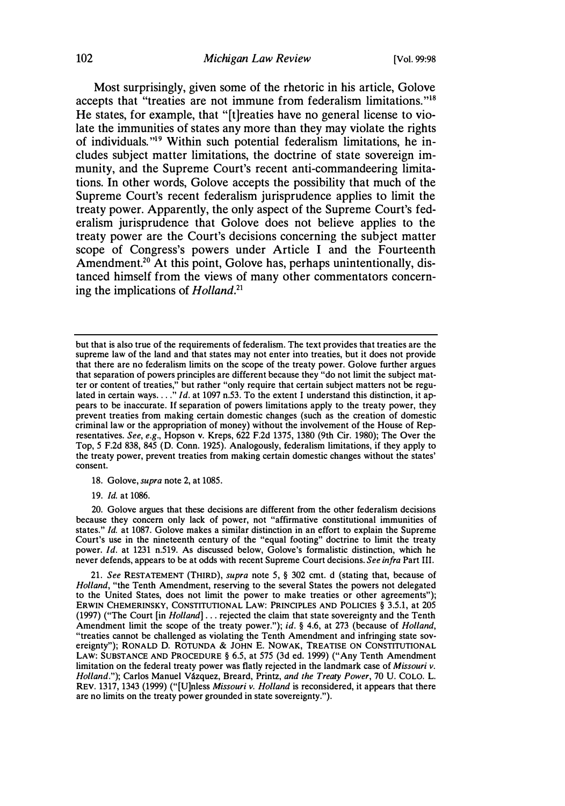Most surprisingly, given some of the rhetoric in his article, Golove accepts that "treaties are not immune from federalism limitations."18 He states, for example, that "[t]reaties have no general license to violate the immunities of states any more than they may violate the rights of individuals. "19 Within such potential federalism limitations, he includes subject matter limitations, the doctrine of state sovereign immunity, and the Supreme Court's recent anti-commandeering limitations. In other words, Golove accepts the possibility that much of the Supreme Court's recent federalism jurisprudence applies to limit the treaty power. Apparently, the only aspect of the Supreme Court's federalism jurisprudence that Golove does not believe applies to the treaty power are the Court's decisions concerning the subject matter scope of Congress's powers under Article I and the Fourteenth Amendment.<sup>20</sup> At this point, Golove has, perhaps unintentionally, distanced himself from the views of many other commentators concerning the implications of Holland.<sup>21</sup>

18. Golove, supra note 2, at 1085.

19. Id. at 1086.

20. Golove argues that these decisions are different from the other federalism decisions because they concern only lack of power, not "affirmative constitutional immunities of states." Id. at 1087. Golove makes a similar distinction in an effort to explain the Supreme Court's use in the nineteenth century of the "equal footing" doctrine to limit the treaty power. Id. at 1231 n.519. As discussed below, Golove's formalistic distinction, which he never defends, appears to be at odds with recent Supreme Court decisions. See infra Part III.

but that is also true of the requirements of federalism. The text provides that treaties are the supreme law of the land and that states may not enter into treaties, but it does not provide that there are no federalism limits on the scope of the treaty power. Golove further argues that separation of powers principles are different because they "do not limit the subject matter or content of treaties," but rather "only require that certain subject matters not be regulated in certain ways. . . ." Id. at 1097 n.53. To the extent I understand this distinction, it appears to be inaccurate. If separation of powers limitations apply to the treaty power, they prevent treaties from making certain domestic changes (such as the creation of domestic criminal law or the appropriation of money) without the involvement of the House of Representatives. See, e.g., Hopson v. Kreps, 622 F.2d 1375, 1380 (9th Cir. 1980); The Over the Top, 5 F.2d 838, 845 (D. Conn. 1925). Analogously, federalism limitations, if they apply to the treaty power, prevent treaties from making certain domestic changes without the states' consent.

<sup>21.</sup> See RESTATEMENT (THIRD), supra note 5, § 302 cmt. d (stating that, because of Holland, "the Tenth Amendment, reserving to the several States the powers not delegated to the United States, does not limit the power to make treaties or other agreements"); ERWIN CHEMERINSKY, CONSTITUTIONAL LAW: PRINCIPLES AND POLICIES § 3.5.l, at 205 (1997) ("The Court (in Holland] ... rejected the claim that state sovereignty and the Tenth Amendment limit the scope of the treaty power."); id. § 4.6, at 273 (because of *Holland*, "treaties cannot be challenged as violating the Tenth Amendment and infringing state sovereignty"); RONALD D. ROTUNDA & JOHN E. NOWAK, TREATISE ON CONSTITUTIONAL LAW: SUBSTANCE AND PROCEDURE§ 6.5, at 575 (3d ed. 1999) ("Any Tenth Amendment limitation on the federal treaty power was flatly rejected in the landmark case of Missouri v. Holland."); Carlos Manuel Vázquez, Breard, Printz, and the Treaty Power, 70 U. COLO. L. REV. 1317, 1343 (1999) ("[U]nless Missouri v. Holland is reconsidered, it appears that there are no limits on the treaty power grounded in state sovereignty.").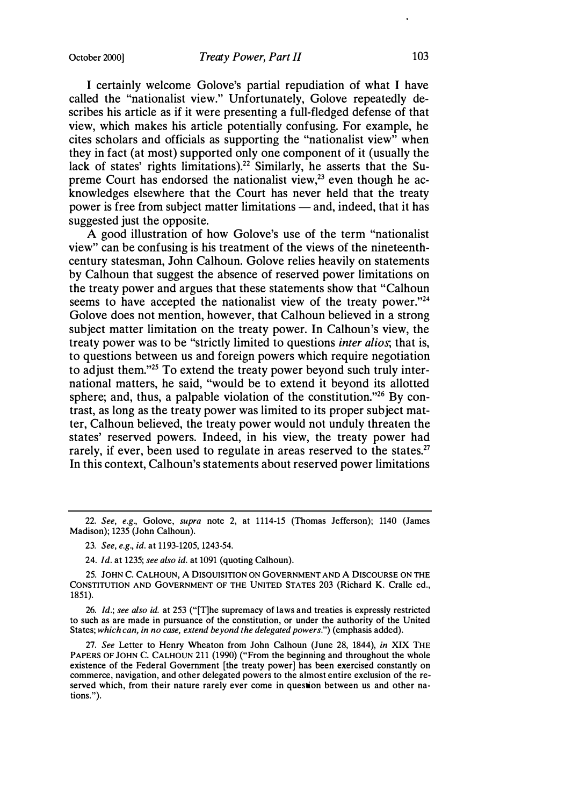I certainly welcome Golove's partial repudiation of what I have called the "nationalist view." Unfortunately, Golove repeatedly describes his article as if it were presenting a full-fledged defense of that view, which makes his article potentially confusing. For example, he cites scholars and officials as supporting the "nationalist view" when they in fact (at most) supported only one component of it (usually the lack of states' rights limitations).<sup>22</sup> Similarly, he asserts that the Supreme Court has endorsed the nationalist view, $^{23}$  even though he acknowledges elsewhere that the Court has never held that the treaty power is free from subject matter limitations — and, indeed, that it has suggested just the opposite.

A good illustration of how Golove's use of the term "nationalist view" can be confusing is his treatment of the views of the nineteenthcentury statesman, John Calhoun. Golove relies heavily on statements by Calhoun that suggest the absence of reserved power limitations on the treaty power and argues that these statements show that "Calhoun seems to have accepted the nationalist view of the treaty power."<sup>24</sup> Golove does not mention, however, that Calhoun believed in a strong subject matter limitation on the treaty power. In Calhoun's view, the treaty power was to be "strictly limited to questions inter alios; that is, to questions between us and foreign powers which require negotiation to adjust them."25 To extend the treaty power beyond such truly international matters, he said, "would be to extend it beyond its allotted sphere; and, thus, a palpable violation of the constitution."26 By contrast, as long as the treaty power was limited to its proper subject matter, Calhoun believed, the treaty power would not unduly threaten the states' reserved powers. Indeed, in his view, the treaty power had rarely, if ever, been used to regulate in areas reserved to the states.<sup>27</sup> In this context, Calhoun's statements about reserved power limitations

24. Id. at 1235; see also id. at 1091 (quoting Calhoun).

25. JOHN C. CALHOUN, A DISQUISITION ON GOVERNMENT AND A DISCOURSE ON THE CONSTITUTION AND GOVERNMENT OF THE UNITED STATES 203 (Richard K. Cralle ed., 1851).

26. Id.; see also id. at 253 ("[T]he supremacy of laws and treaties is expressly restricted to such as are made in pursuance of the constitution, or under the authority of the United States; which can, in no case, extend beyond the delegated powers.") (emphasis added).

27. See Letter to Henry Wheaton from John Calhoun (June 28, 1844), in XIX THE PAPERS OF JOHN C. CALHOUN 211 (1990) ("From the beginning and throughout the whole existence of the Federal Government (the treaty power] has been exercised constantly on commerce, navigation, and other delegated powers to the almost entire exclusion of the reserved which, from their nature rarely ever come in question between us and other nations.").

<sup>22.</sup> See, e.g., Golove, supra note 2, at 1114-15 (Thomas Jefferson); 1140 (James Madison); 1235 (John Calhoun).

<sup>23.</sup> See, e.g., id. at 1193-1205, 1243-54.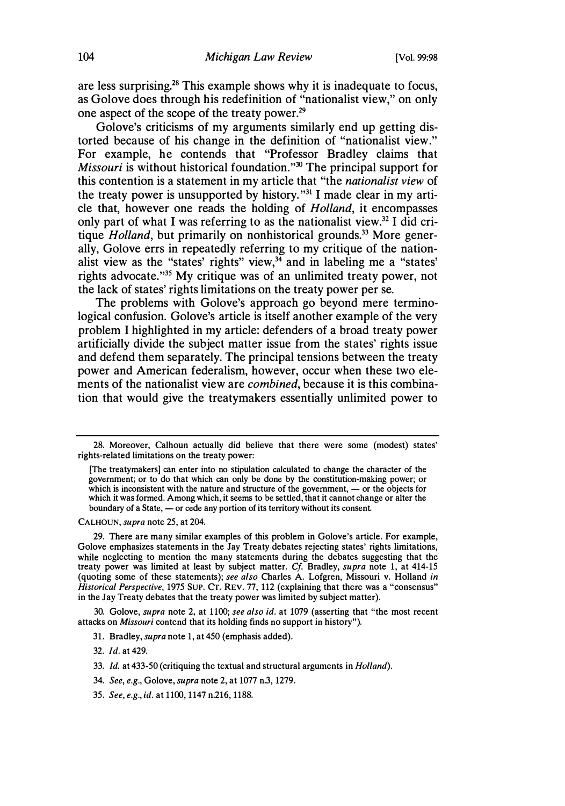are less surprising.28 This example shows why it is inadequate to focus, as Golove does through his redefinition of "nationalist view," on only one aspect of the scope of the treaty power.29

Golove's criticisms of my arguments similarly end up getting distorted because of his change in the definition of "nationalist view." For example, he contends that "Professor Bradley claims that Missouri is without historical foundation."30 The principal support for this contention is a statement in my article that "the nationalist view of the treaty power is unsupported by history. "31 I made clear in my article that, however one reads the holding of Holland, it encompasses only part of what I was referring to as the nationalist view.32 I did critique *Holland*, but primarily on nonhistorical grounds.<sup>33</sup> More generally, Golove errs in repeatedly referring to my critique of the nationalist view as the "states' rights" view, $34$  and in labeling me a "states' rights advocate."35 My critique was of an unlimited treaty power, not the lack of states' rights limitations on the treaty power per se.

The problems with Golove's approach go beyond mere terminological confusion. Golove's article is itself another example of the very problem I highlighted in my article: defenders of a broad treaty power artificially divide the subject matter issue from the states' rights issue and defend them separately. The principal tensions between the treaty power and American federalism, however, occur when these two elements of the nationalist view are combined, because it is this combination that would give the treatymakers essentially unlimited power to

CALHOUN, supra note 25, at 204.

29. There are many similar examples of this problem in Golove's article. For example, Golove emphasizes statements in the Jay Treaty debates rejecting states' rights limitations, while neglecting to mention the many statements during the debates suggesting that the treaty power was limited at least by subject matter. Cf. Bradley, supra note 1, at 414-15 (quoting some of these statements); see also Charles A. Lofgren, Missouri v. Holland in Historical Perspective, 1975 SUP. Cr. REV. 77, 112 (explaining that there was a "consensus" in the Jay Treaty debates that the treaty power was limited by subject matter).

30. Golove, supra note 2, at 1100; see also id. at 1079 (asserting that "the most recent attacks on Missouri contend that its holding finds no support in history").

- 31. Bradley, supra note 1, at 450 (emphasis added).
- 32. Id. at 429.
- 33. Id. at 433-50 (critiquing the textual and structural arguments in Holland).
- 34. See, e.g., Golove, supra note 2, at 1077 n.3, 1279.
- 35. See, e.g., id. at 1100, 1147 n.216, 1188.

<sup>28.</sup> Moreover, Calhoun actually did believe that there were some (modest) states' rights-related limitations on the treaty power:

<sup>[</sup>The treatymakers] can enter into no stipulation calculated to change the character of the government; or to do that which can only be done by the constitution-making power; or which is inconsistent with the nature and structure of the government,  $-$  or the objects for which it was formed. Among which, it seems to be settled, that it cannot change or alter the boundary of a State, - or cede any portion of its territory without its consent.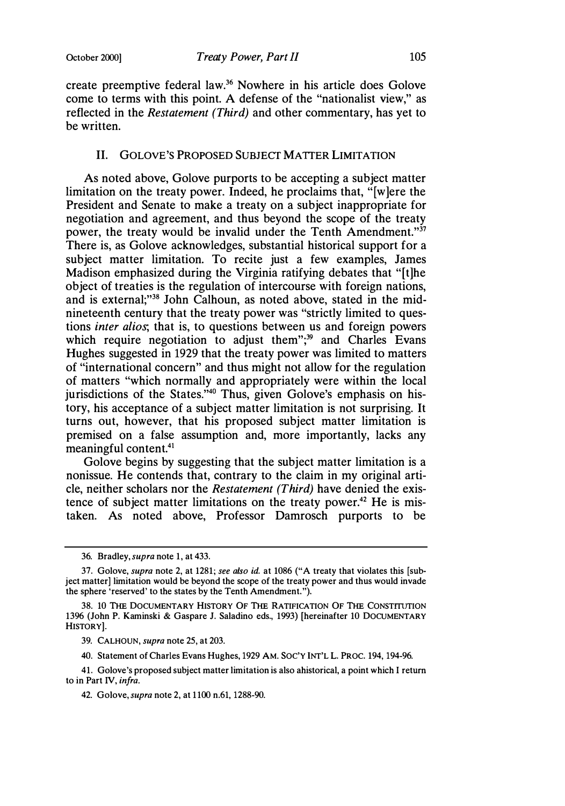create preemptive federal law.36 Nowhere in his article does Golove come to terms with this point. A defense of the "nationalist view," as reflected in the Restatement (Third) and other commentary, has yet to be written.

#### II. GOLOVE'S PROPOSED SUBJECT MATIER LIMITATION

As noted above, Golove purports to be accepting a subject matter limitation on the treaty power. Indeed, he proclaims that, " [w] ere the President and Senate to make a treaty on a subject inappropriate for negotiation and agreement, and thus beyond the scope of the treaty power, the treaty would be invalid under the Tenth Amendment."<sup>37</sup> There is, as Golove acknowledges, substantial historical support for a subject matter limitation. To recite just a few examples, James Madison emphasized during the Virginia ratifying debates that "[t]he object of treaties is the regulation of intercourse with foreign nations, and is external;"38 John Calhoun, as noted above, stated in the midnineteenth century that the treaty power was "strictly limited to questions inter alios; that is, to questions between us and foreign powers which require negotiation to adjust them";<sup>39</sup> and Charles Evans Hughes suggested in 1929 that the treaty power was limited to matters of "international concern" and thus might not allow for the regulation of matters "which normally and appropriately were within the local jurisdictions of the States."<sup>40</sup> Thus, given Golove's emphasis on history, his acceptance of a subject matter limitation is not surprising. It turns out, however, that his proposed subject matter limitation is premised on a false assumption and, more importantly, lacks any meaningful content.41

Golove begins by suggesting that the subject matter limitation is a nonissue. He contends that, contrary to the claim in my original article, neither scholars nor the Restatement (Third) have denied the existence of subject matter limitations on the treaty power.<sup>42</sup> He is mistaken. As noted above, Professor Damrosch purports to be

- 39. CALHOUN, supra note 25, at 203.
- 40. Statement of Charles Evans Hughes, 1929 AM. SOC'Y INT'L L. PROC. 194, 194-96.

<sup>36.</sup> Bradley, supra note 1, at 433.

<sup>37.</sup> Golove, supra note 2, at 1281; see also id. at 1086 ("A treaty that violates this [subject matter] limitation would be beyond the scope of the treaty power and thus would invade the sphere 'reserved' to the states by the Tenth Amendment.").

<sup>38. 10</sup> THE DOCUMENTARY HISTORY OF THE RATIFICATION OF THE CONSTITUTION 1396 (John P. Kaminski & Gaspare J. Saladino eds., 1993) [hereinafter 10 DOCUMENTARY HISTORY].

<sup>41.</sup> Golove's proposed subject matter limitation is also ahistorical, a point which I return to in Part IV, infra.

<sup>42.</sup> Golove, supra note 2, at 1100 n.61, 1288-90.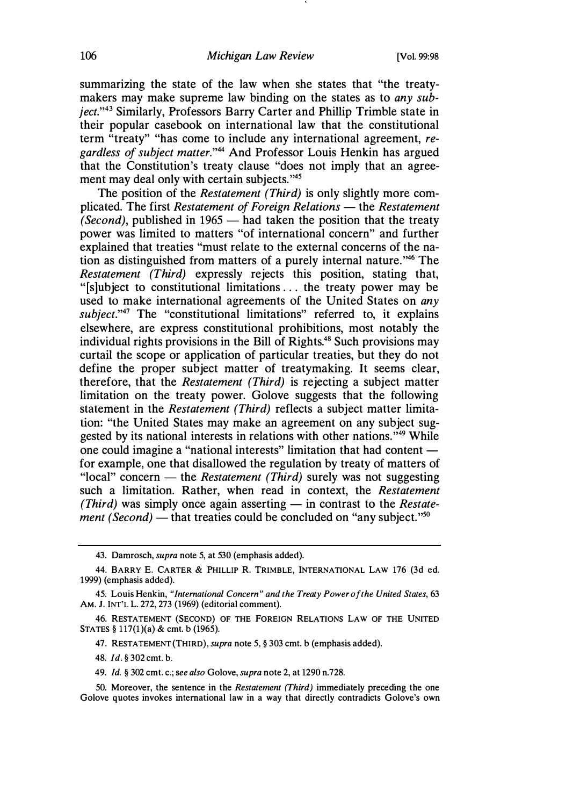summarizing the state of the law when she states that "the treatymakers may make supreme law binding on the states as to *any sub*ject."<sup>43</sup> Similarly, Professors Barry Carter and Phillip Trimble state in their popular casebook on international law that the constitutional term "treaty" "has come to include any international agreement, regardless of subject matter."44 And Professor Louis Henkin has argued that the Constitution's treaty clause "does not imply that an agreement may deal only with certain subjects."<sup>45</sup>

The position of the Restatement (Third) is only slightly more complicated. The first Restatement of Foreign Relations - the Restatement (Second), published in  $1965$  - had taken the position that the treaty power was limited to matters "of international concern" and further explained that treaties "must relate to the external concerns of the nation as distinguished from matters of a purely internal nature."46 The Restatement (Third) expressly rejects this position, stating that, " [s]ubject to constitutional limitations ... the treaty power may be used to make international agreements of the United States on any subject."<sup>47</sup> The "constitutional limitations" referred to, it explains elsewhere, are express constitutional prohibitions, most notably the individual rights provisions in the Bill of Rights.<sup>48</sup> Such provisions may curtail the scope or application of particular treaties, but they do not define the proper subject matter of treatymaking. It seems clear, therefore, that the Restatement (Third) is rejecting a subject matter limitation on the treaty power. Golove suggests that the following statement in the *Restatement (Third)* reflects a subject matter limitation: "the United States may make an agreement on any subject suggested by its national interests in relations with other nations."49 While one could imagine a "national interests" limitation that had content for example, one that disallowed the regulation by treaty of matters of "local" concern  $-$  the *Restatement (Third)* surely was not suggesting such a limitation. Rather, when read in context, the Restatement (Third) was simply once again asserting  $-$  in contrast to the Restate*ment (Second)* — that treaties could be concluded on "any subject."<sup>50</sup>

49. Id. § 302 cmt. c.; see also Golove, supra note 2, at 1290 n.728.

<sup>43.</sup> Damrosch, supra note 5, at 530 (emphasis added).

<sup>44.</sup> BARRY E. CARTER & PHILLIP R. TRIMBLE, INTERNATIONAL LAW 176 (3d ed. 1999) (emphasis added).

<sup>45.</sup> Louis Henkin, "International Concern" and the Treaty Power of the United States, 63 AM. J. INT'L L. 272, 273 (1969) (editorial comment).

<sup>46.</sup> RESTATEMENT (SECOND) OF THE FOREIGN RELATIONS LAW OF THE UNITED STATES § 117(1)(a) & cmt. b (1965).

<sup>47.</sup> RESTATEMENT (THIRD), supra note 5, § 303 cmt. b (emphasis added).

<sup>48.</sup> Id. § 302 cmt. b.

<sup>50.</sup> Moreover, the sentence in the Restatement (Third) immediately preceding the one Golove quotes invokes international law in a way that directly contradicts Golove's own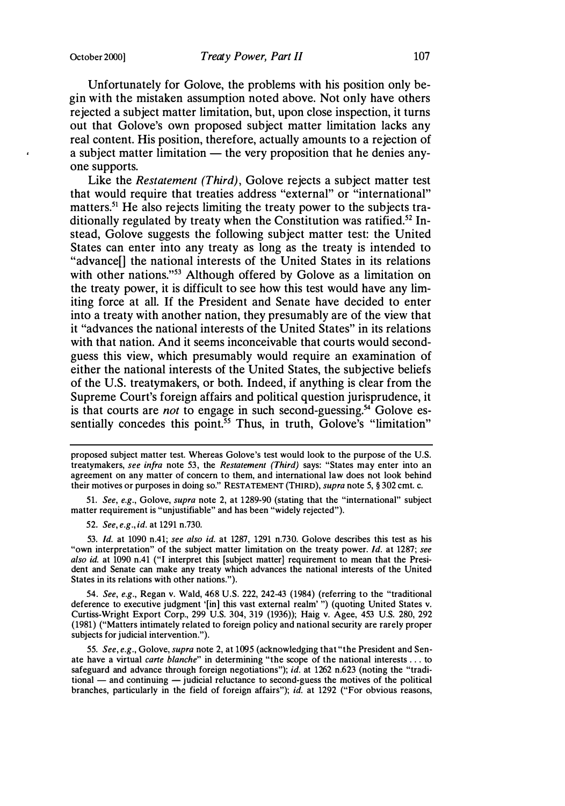#### October 2000] **Treaty Power, Part II** 107

Unfortunately for Golove, the problems with his position only begin with the mistaken assumption noted above. Not only have others rejected a subject matter limitation, but, upon close inspection, it turns out that Golove's own proposed subject matter limitation lacks any real content. His position, therefore, actually amounts to a rejection of a subject matter limitation — the very proposition that he denies anyone supports.

Like the Restatement (Third), Golove rejects a subject matter test that would require that treaties address "external" or "international" matters.<sup>51</sup> He also rejects limiting the treaty power to the subjects traditionally regulated by treaty when the Constitution was ratified.52 Instead, Golove suggests the following subject matter test: the United States can enter into any treaty as long as the treaty is intended to "advance[] the national interests of the United States in its relations with other nations."<sup>53</sup> Although offered by Golove as a limitation on the treaty power, it is difficult to see how this test would have any limiting force at all. If the President and Senate have decided to enter into a treaty with another nation, they presumably are of the view that it "advances the national interests of the United States" in its relations with that nation. And it seems inconceivable that courts would secondguess this view, which presumably would require an examination of either the national interests of the United States, the subjective beliefs of the U.S. treatymakers, or both. Indeed, if anything is clear from the Supreme Court's foreign affairs and political question jurisprudence, it is that courts are *not* to engage in such second-guessing.<sup>54</sup> Golove essentially concedes this point.<sup>55</sup> Thus, in truth, Golove's "limitation"

51. See, e.g., Golove, supra note 2, at 1289-90 (stating that the "international" subject matter requirement is "unjustifiable" and has been "widely rejected").

52. See, e.g., id. at 1291 n.730.

53. Id. at 1090 n.41; see also id. at 1287, 1291 n.730. Golove describes this test as his "own interpretation" of the subject matter limitation on the treaty power. Id. at 1287; see also id. at 1090 n.41 ("I interpret this [subject matter] requirement to mean that the President and Senate can make any treaty which advances the national interests of the United States in its relations with other nations.").

54. See, e.g., Regan v. Wald, 468 U.S. 222, 242-43 (1984) (referring to the "traditional deference to executive judgment '[in] this vast external realm'") (quoting United States v. Curtiss-Wright Export Corp., 299 U.S. 304, 319 (1936)); Haig v. Agee, 453 U.S. 280, 292 (1981) ("Matters intimately related to foreign policy and national security are rarely proper subjects for judicial intervention.").

55. See, e.g., Golove, supra note 2, at 1095 (acknowledging that "the President and Senate have a virtual carte blanche" in determining "the scope of the national interests . . . to safeguard and advance through foreign negotiations"); id. at 1262 n.623 (noting the "traditional - and continuing - judicial reluctance to second-guess the motives of the political branches, particularly in the field of foreign affairs"); id. at 1292 ("For obvious reasons,

proposed subject matter test. Whereas Golove's test would look to the purpose of the U.S. treatymakers, see infra note 53, the Restatement (Third) says: "States may enter into an agreement on any matter of concern to them, and international law does not look behind their motives or purposes in doing so." RESTATEMENT (THIRD), supra note 5, § 302 cmt. c.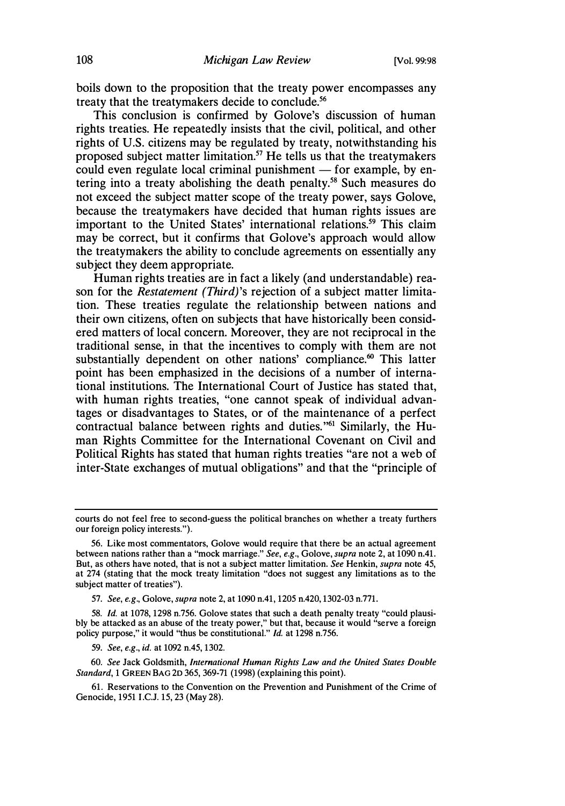boils down to the proposition that the treaty power encompasses any treaty that the treatymakers decide to conclude.<sup>56</sup>

This conclusion is confirmed by Golove's discussion of human rights treaties. He repeatedly insists that the civil, political, and other rights of U.S. citizens may be regulated by treaty, notwithstanding his proposed subject matter limitation.57 He tells us that the treatymakers could even regulate local criminal punishment  $-$  for example, by entering into a treaty abolishing the death penalty.<sup>58</sup> Such measures do not exceed the subject matter scope of the treaty power, says Golove, because the treatymakers have decided that human rights issues are important to the United States' international relations.<sup>59</sup> This claim may be correct, but it confirms that Golove's approach would allow the treatymakers the ability to conclude agreements on essentially any subject they deem appropriate.

Human rights treaties are in fact a likely (and understandable) reason for the *Restatement (Third)*'s rejection of a subject matter limitation. These treaties regulate the relationship between nations and their own citizens, often on subjects that have historically been considered matters of local concern. Moreover, they are not reciprocal in the traditional sense, in that the incentives to comply with them are not substantially dependent on other nations' compliance.<sup>60</sup> This latter point has been emphasized in the decisions of a number of international institutions. The International Court of Justice has stated that, with human rights treaties, "one cannot speak of individual advantages or disadvantages to States, or of the maintenance of a perfect contractual balance between rights and duties."61 Similarly, the Human Rights Committee for the International Covenant on Civil and Political Rights has stated that human rights treaties "are not a web of inter-State exchanges of mutual obligations" and that the "principle of

57. See, e.g., Golove, supra note 2, at 1090 n.41, 1205 n.420, 1302-03 n.771.

59. See, e.g., id. at 1092 n.45, 1302.

60. See Jack Goldsmith, International Human Rights Law and the United States Double Standard, 1 GREEN BAG 20 365, 369-71 (1998) (explaining this point).

courts do not feel free to second-guess the political branches on whether a treaty furthers our foreign policy interests.").

<sup>56.</sup> Like most commentators, Golove would require that there be an actual agreement between nations rather than a "mock marriage." See, e.g., Golove, supra note 2, at 1090 n.41. But, as others have noted, that is not a subject matter limitation. See Henkin, *supra* note 45, at 274 (stating that the mock treaty limitation "does not suggest any limitations as to the subject matter of treaties").

<sup>58.</sup> Id. at 1078, 1298 n.756. Golove states that such a death penalty treaty "could plausibly be attacked as an abuse of the treaty power," but that, because it would "serve a foreign policy purpose," it would "thus be constitutional." Id. at 1298 n.756.

<sup>61.</sup> Reservations to the Convention on the Prevention and Punishment of the Crime of Genocide, 1951 I.C.J. 15, 23 (May 28).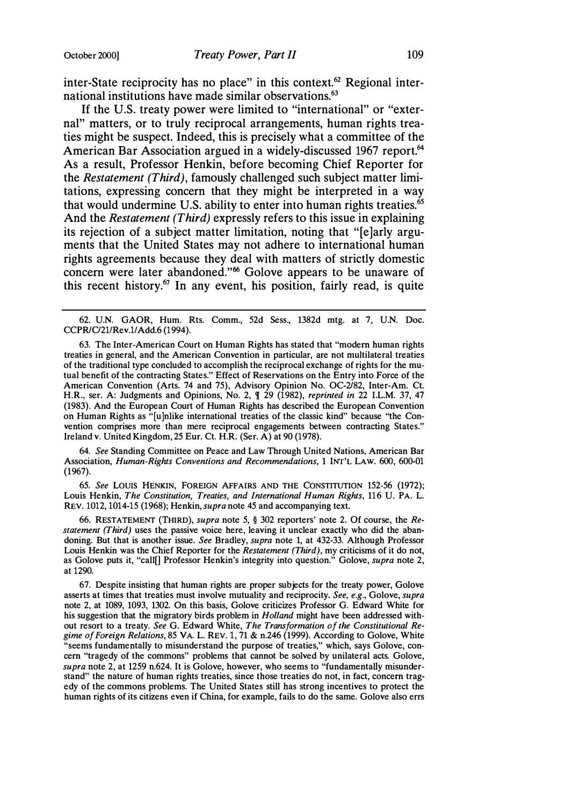inter-State reciprocity has no place" in this context.<sup>62</sup> Regional international institutions have made similar observations.<sup>63</sup>

If the U.S. treaty power were limited to "international" or "external" matters, or to truly reciprocal arrangements, human rights treaties might be suspect. Indeed, this is precisely what a committee of the American Bar Association argued in a widely-discussed 1967 report.<sup>64</sup> As a result, Professor Henkin, before becoming Chief Reporter for the Restatement (Third), famously challenged such subject matter limitations, expressing concern that they might be interpreted in a way that would undermine U.S. ability to enter into human rights treaties.<sup>65</sup> And the Restatement (Third) expressly refers to this issue in explaining its rejection of a subject matter limitation, noting that "[e ]arly arguments that the United States may not adhere to international human rights agreements because they deal with matters of strictly domestic concern were later abandoned."66 Golove appears to be unaware of this recent history. $67$  In any event, his position, fairly read, is quite

64. See Standing Committee on Peace and Law Through United Nations, American Bar Association, Human-Rights Conventions and Recommendations, 1 INT'L LAW. 600, 600-01 (1967).

65. See LOUIS HENKIN, FOREIGN AFFAIRS AND THE CONSTITUTION 152-56 (1972); Louis Henkin, The Constitution, Treaties, and International Human Rights, 116 U. PA. L. REV. 1012, 1014-15 (1968); Henkin, supra note 45 and accompanying text.

66. RESTATEMENT (THIRD), supra note 5, § 302 reporters' note 2. Of course, the Restatement (Third) uses the passive voice here, leaving it unclear exactly who did the abandoning. But that is another issue. See Bradley, supra note 1, at 432-33. Although Professor Louis Henkin was the Chief Reporter for the Restatement (Third), my criticisms of it do not, as Golove puts it, "call[] Professor Henkin's integrity into question." Golove, supra note 2, at 1290.

67. Despite insisting that human rights are proper subjects for the treaty power, Golove asserts at times that treaties must involve mutuality and reciprocity. See, e.g., Golove, supra note 2, at 1089, 1093, 1302. On this basis, Golove criticizes Professor G. Edward White for his suggestion that the migratory birds problem in Holland might have been addressed without resort to a treaty. See G. Edward White, The Transformation of the Constitutional Regime of Foreign Relations, 85 VA. L. REV. 1, 71 & n.246 (1999). According to Golove, White "seems fundamentally to misunderstand the purpose of treaties," which, says Golove, concern "tragedy of the commons" problems that cannot be solved by unilateral acts. Golove, supra note 2, at 1259 n.624. It is Golove, however, who seems to "fundamentally misunderstand" the nature of human rights treaties, since those treaties do not, in fact, concern tragedy of the commons problems. The United States still has strong incentives to protect the human rights of its citizens even if China, for example, fails to do the same. Golove also errs

<sup>62.</sup> U.N. GAOR, Hum. Rts. Comm., 52d Sess., 1382d mtg. at 7, U.N. Doc. CCPR/C/21/Rev.1/Add.6 (1994).

<sup>63.</sup> The Inter-American Court on Human Rights has stated that "modern human rights treaties in general, and the American Convention in particular, are not multilateral treaties of the traditional type concluded to accomplish the reciprocal exchange of rights for the mutual benefit of the contracting States." Effect of Reservations on the Entry into Force of the American Convention (Arts. 74 and 75), Advisory Opinion No. OC-2/82, Inter-Am. Ct. H.R., ser. A: Judgments and Opinions, No. 2,  $\parallel$  29 (1982), reprinted in 22 I.L.M. 37, 47 (1983). And the European Court of Human Rights has described the European Convention on Human Rights as "[u]nlike international treaties of the classic kind" because "the Convention comprises more than mere reciprocal engagements between contracting States." Ireland v. United Kingdom, 25 Eur. Ct. H.R. (Ser. A) at 90 (1978).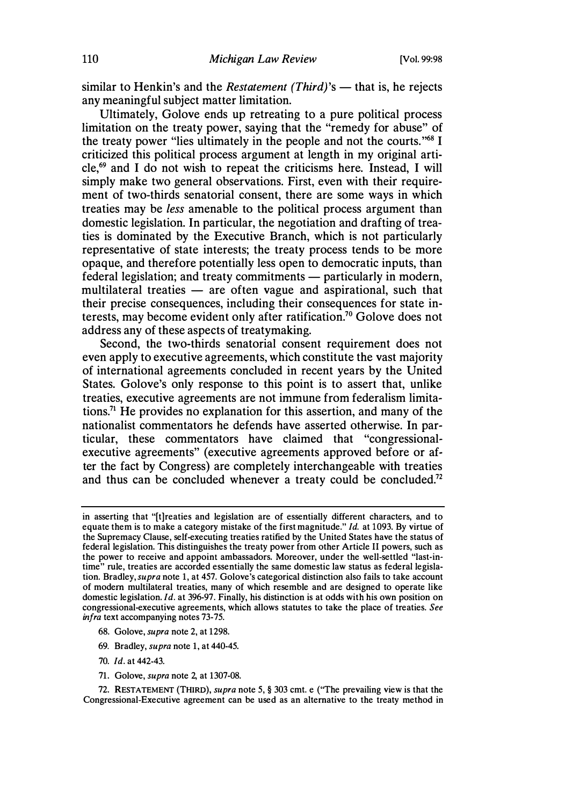similar to Henkin's and the *Restatement (Third)*'s — that is, he rejects any meaningful subject matter limitation.

Ultimately, Golove ends up retreating to a pure political process limitation on the treaty power, saying that the "remedy for abuse" of the treaty power "lies ultimately in the people and not the courts."68 I criticized this political process argument at length in my original article,69 and I do not wish to repeat the criticisms here. Instead, I will simply make two general observations. First, even with their requirement of two-thirds senatorial consent, there are some ways in which treaties may be less amenable to the political process argument than domestic legislation. In particular, the negotiation and drafting of treaties is dominated by the Executive Branch, which is not particularly representative of state interests; the treaty process tends to be more opaque, and therefore potentially less open to democratic inputs, than federal legislation; and treaty commitments - particularly in modern, multilateral treaties  $-$  are often vague and aspirational, such that their precise consequences, including their consequences for state interests, may become evident only after ratification.70 Golove does not address any of these aspects of treatymaking.

Second, the two-thirds senatorial consent requirement does not even apply to executive agreements, which constitute the vast majority of international agreements concluded in recent years by the United States. Golove's only response to this point is to assert that, unlike treaties, executive agreements are not immune from federalism limitations.71 He provides no explanation for this assertion, and many of the nationalist commentators he defends have asserted otherwise. In particular, these commentators have claimed that "congressionalexecutive agreements" (executive agreements approved before or after the fact by Congress) are completely interchangeable with treaties and thus can be concluded whenever a treaty could be concluded.<sup>72</sup>

- 68. Golove, supra note 2, at 1298.
- 69. Bradley, supra note 1, at 440-45.
- 70. Id. at 442-43.
- 71. Golove, supra note 2, at 1307-08.

72. RESTATEMENT (THIRD), supra note 5, § 303 cmt. e ("The prevailing view is that the Congressional-Executive agreement can be used as an alternative to the treaty method in

in asserting that "[t)reaties and legislation are of essentially different characters, and to equate them is to make a category mistake of the first magnitude." Id. at 1093. By virtue of the Supremacy Clause, self-executing treaties ratified by the United States have the status of federal legislation. This distinguishes the treaty power from other Article II powers, such as the power to receive and appoint ambassadors. Moreover, under the well-settled "last-intime" rule, treaties are accorded essentially the same domestic law status as federal legislation. Bradley, supra note 1, at 457. Golove's categorical distinction also fails to take account of modem multilateral treaties, many of which resemble and are designed to operate like domestic legislation. Id. at 396-97. Finally, his distinction is at odds with his own position on congressional-executive agreements, which allows statutes to take the place of treaties. See infra text accompanying notes 73-75.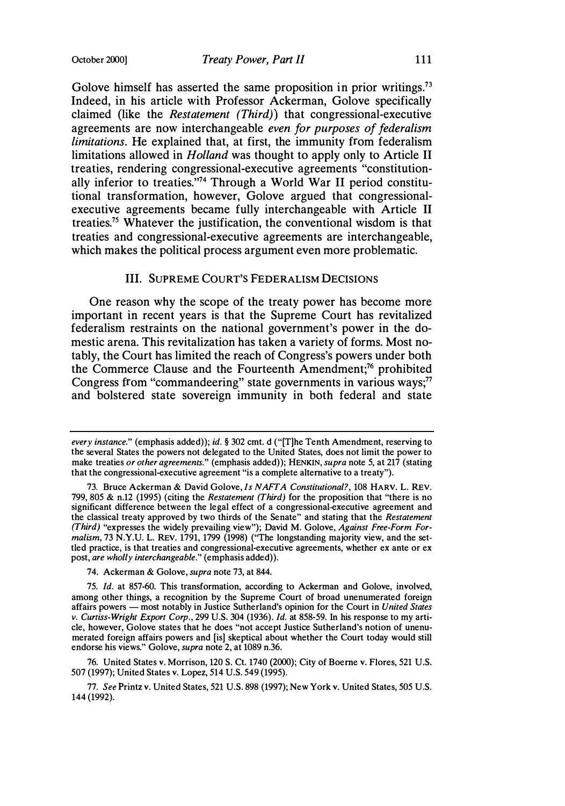#### October 2000] Treaty Power, Part II 111

Golove himself has asserted the same proposition in prior writings.<sup>73</sup> Indeed, in his article with Professor Ackerman, Golove specifically claimed (like the Restatement (Third)) that congressional-executive agreements are now interchangeable even for purposes of federalism limitations. He explained that, at first, the immunity from federalism limitations allowed in Holland was thought to apply only to Article II treaties, rendering congressional-executive agreements "constitutionally inferior to treaties."74 Through a World War II period constitutional transformation, however, Golove argued that congressionalexecutive agreements became fully interchangeable with Article II treaties.75 Whatever the justification, the conventional wisdom is that treaties and congressional-executive agreements are interchangeable, which makes the political process argument even more problematic.

#### Ill. SUPREME COURT' S FEDERALISM DECISIONS

One reason why the scope of the treaty power has become more important in recent years is that the Supreme Court has revitalized federalism restraints on the national government's power in the domestic arena. This revitalization has taken a variety of forms. Most notably, the Court has limited the reach of Congress's powers under both the Commerce Clause and the Fourteenth Amendment;<sup>76</sup> prohibited Congress from "commandeering" state governments in various ways;<sup>77</sup> and bolstered state sovereign immunity in both federal and state

every instance." (emphasis added)); id. § 302 cmt. d ("[T]he Tenth Amendment, reserving to the several States the powers not delegated to the United States, does not limit the power to make treaties or other agreements." (emphasis added)); HENKIN, supra note 5, at 217 (stating that the congressional-executive agreement "is a complete alternative to a treaty").

<sup>73.</sup> Bruce Ackerman & David Golove, Is NAFTA Constitutional?, 108 HARV. L. REV. 799, 805 & n.12 (1995) (citing the *Restatement (Third)* for the proposition that "there is no significant difference between the legal effect of a congressional-executive agreement and the classical treaty approved by two thirds of the Senate" and stating that the Restatement (Third) "expresses the widely prevailing view"); David M. Golove, Against Free-Form Formalism, 73 N.Y.U. L. REV. 1791, 1799 (1998) ("The longstanding majority view, and the settled practice, is that treaties and congressional-executive agreements, whether ex ante or ex post, are wholly interchangeable." (emphasis added)).

<sup>74.</sup> Ackerman & Golove, supra note 73, at 844.

<sup>75.</sup> Id. at 857-60. This transformation, according to Ackerman and Golove, involved, among other things, a recognition by the Supreme Court of broad unenumerated foreign affairs powers - most notably in Justice Sutherland's opinion for the Court in United States v. Curtiss-Wright Export Corp., 299 U.S. 304 (1936). Id. at 858-59. In his response to my article, however, Golove states that he does "not accept Justice Sutherland's notion of unenumerated foreign affairs powers and [is] skeptical about whether the Court today would still endorse his views." Golove, supra note 2, at 1089 n.36.

<sup>76.</sup> United States v. Morrison, 120 S. Ct. 1740 (2000); City of Boerne v. Flores, 521 U.S. 507 (1997); United States v. Lopez, 514 U.S. 549 (1995).

<sup>77.</sup> See Printz v. United States, 521 U.S. 898 (1997); New York v. United States, 505 U.S. 144 (1992).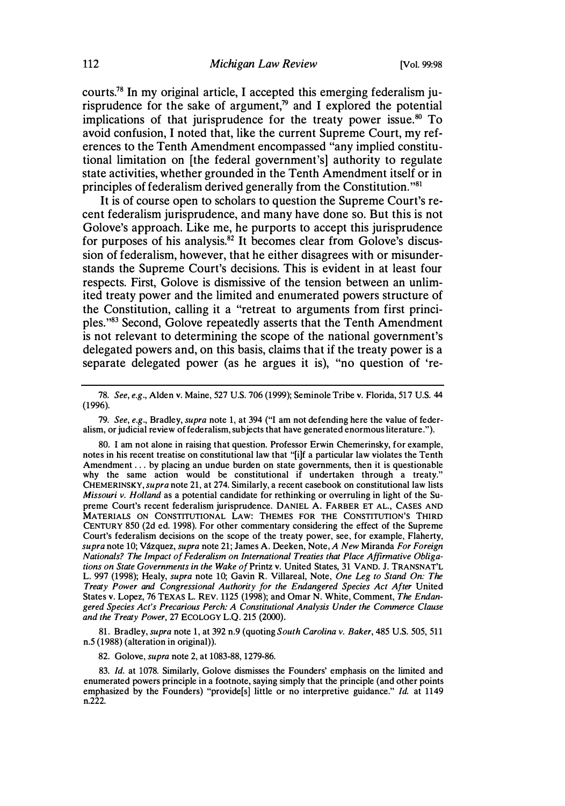courts.78 In my original article, I accepted this emerging federalism jurisprudence for the sake of argument,<sup>79</sup> and I explored the potential implications of that jurisprudence for the treaty power issue. $80$  To avoid confusion, I noted that, like the current Supreme Court, my references to the Tenth Amendment encompassed "any implied constitutional limitation on [the federal government's] authority to regulate state activities, whether grounded in the Tenth Amendment itself or in principles of federalism derived generally from the Constitution. "81

It is of course open to scholars to question the Supreme Court's recent federalism jurisprudence, and many have done so. But this is not Golove's approach. Like me, he purports to accept this jurisprudence for purposes of his analysis.<sup>82</sup> It becomes clear from Golove's discussion of federalism, however, that he either disagrees with or misunderstands the Supreme Court's decisions. This is evident in at least four respects. First, Golove is dismissive of the tension between an unlimited treaty power and the limited and enumerated powers structure of the Constitution, calling it a "retreat to arguments from first principles."83 Second, Golove repeatedly asserts that the Tenth Amendment is not relevant to determining the scope of the national government's delegated powers and, on this basis, claims that if the treaty power is a separate delegated power (as he argues it is), "no question of 're-

81. Bradley, supra note 1, at 392 n.9 (quoting South Carolina v. Baker, 485 U.S. 505, 511 n.5 (1988) (alteration in original)).

82. Golove, supra note 2, at 1083-88, 1279-86.

<sup>78.</sup> See, e.g., Alden v. Maine, 527 U.S. 706 (1999); Seminole Tribe v. Florida, 517 U.S. 44 (1996).

<sup>79.</sup> See, e.g., Bradley, supra note 1, at 394 ("I am not defending here the value of federalism, or judicial review of federalism, subjects that have generated enormous literature.").

<sup>80.</sup> I am not alone in raising that question. Professor Erwin Chemerinsky, for example, notes in his recent treatise on constitutional Jaw that "[i]f a particular law violates the Tenth Amendment ... by placing an undue burden on state governments, then it is questionable why the same action would be constitutional if undertaken through a treaty." CHEMERINSKY, supra note 21, at 274. Similarly, a recent casebook on constitutional Jaw lists Missouri v. Holland as a potential candidate for rethinking or overruling in light of the Supreme Court's recent federalism jurisprudence. DANIEL A. FARBER ET AL., CASES AND MATERIALS ON CONSTITUTIONAL LAW: THEMES FOR THE CONSTITUTION'S THIRD CENTURY 850 (2d ed. 1998). For other commentary considering the effect of the Supreme Court's federalism decisions on the scope of the treaty power, see, for example, Flaherty, supra note 10; Vázquez, supra note 21; James A. Deeken, Note, A New Miranda For Foreign Nationals? The Impact of Federalism on International Treaties that Place Affirmative Obligations on State Governments in the Wake of Printz v. United States, 31 VAND. J. TRANSNAT'L L. 997 (1998); Healy, supra note 10; Gavin R. Villareal, Note, One Leg to Stand On: The Treaty Power and Congressional Authority for the Endangered Species Act After United States v. Lopez, 76 TEXAS L. REV. 1125 (1998); and Omar N. White, Comment, The Endangered Species Act's Precarious Perch: A Constitutional Analysis Under the Commerce Clause and the Treaty Power, 27 ECOLOGY L.Q. 215 (2000).

<sup>83.</sup> Id. at 1078. Similarly, Golove dismisses the Founders' emphasis on the limited and enumerated powers principle in a footnote, saying simply that the principle (and other points emphasized by the Founders) "provide[s] little or no interpretive guidance." Id. at 1149 n.222.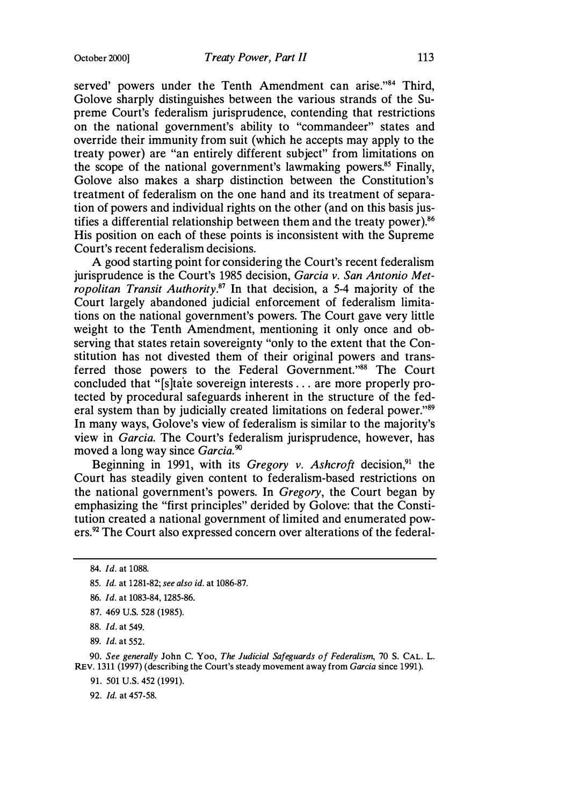served' powers under the Tenth Amendment can arise."<sup>84</sup> Third, Golove sharply distinguishes between the various strands of the Supreme Court's federalism jurisprudence, contending that restrictions on the national government's ability to "commandeer" states and override their immunity from suit (which he accepts may apply to the treaty power) are "an entirely different subject" from limitations on the scope of the national government's lawmaking powers.<sup>85</sup> Finally, Golove also makes a sharp distinction between the Constitution's treatment of federalism on the one hand and its treatment of separation of powers and individual rights on the other (and on this basis justifies a differential relationship between them and the treaty power).<sup>86</sup> His position on each of these points is inconsistent with the Supreme Court's recent federalism decisions.

A good starting point for considering the Court's recent federalism jurisprudence is the Court's 1985 decision, Garcia v. San Antonio Metropolitan Transit Authority.<sup>87</sup> In that decision, a 5-4 majority of the Court largely abandoned judicial enforcement of federalism limitations on the national government's powers. The Court gave very little weight to the Tenth Amendment, mentioning it only once and observing that states retain sovereignty "only to the extent that the Constitution has not divested them of their original powers and transferred those powers to the Federal Government."88 The Court concluded that "[s]tate sovereign interests . . . are more properly protected by procedural safeguards inherent in the structure of the federal system than by judicially created limitations on federal power."89 In many ways, Golove's view of federalism is similar to the majority's view in Garcia. The Court's federalism jurisprudence, however, has moved a long way since Garcia.<sup>90</sup>

Beginning in 1991, with its Gregory v. Ashcroft decision,<sup>91</sup> the Court has steadily given content to federalism-based restrictions on the national government's powers. In Gregory, the Court began by emphasizing the "first principles" derided by Golove: that the Constitution created a national government of limited and enumerated powers.<sup>92</sup> The Court also expressed concern over alterations of the federal-

90. See generally John C. Yoo, The Judicial Safeguards of Federalism, 70 S. CAL. L. REV. 1311 (1997) (describing the Court's steady movement away from Garcia since 1991).

91. 501 U.S. 452 (1991).

92. Id. at 457-58.

<sup>84.</sup> Id. at 1088.

<sup>85.</sup> Id. at 1281-82; see also id. at 1086-87.

<sup>86.</sup> Id. at 1083-84, 1285-86.

<sup>87. 469</sup> U.S. 528 (1985).

<sup>88.</sup> Id. at 549.

<sup>89.</sup> Id. at 552.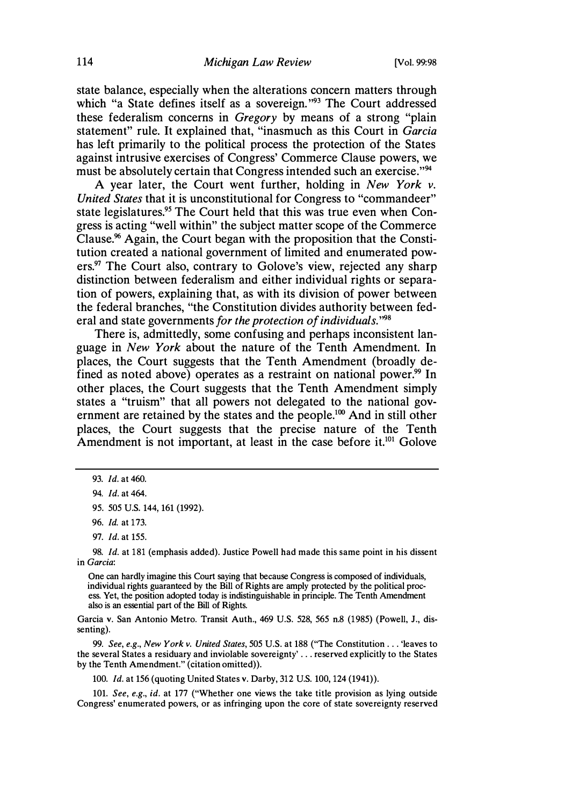state balance, especially when the alterations concern matters through which "a State defines itself as a sovereign."<sup>93</sup> The Court addressed these federalism concerns in Gregory by means of a strong "plain statement" rule. It explained that, "inasmuch as this Court in Garcia has left primarily to the political process the protection of the States against intrusive exercises of Congress' Commerce Clause powers, we must be absolutely certain that Congress intended such an exercise."94

A year later, the Court went further, holding in New York v. United States that it is unconstitutional for Congress to "commandeer" state legislatures.<sup>95</sup> The Court held that this was true even when Congress is acting "well within" the subject matter scope of the Commerce Clause.96 Again, the Court began with the proposition that the Constitution created a national government of limited and enumerated powers.<sup>97</sup> The Court also, contrary to Golove's view, rejected any sharp distinction between federalism and either individual rights or separation of powers, explaining that, as with its division of power between the federal branches, "the Constitution divides authority between federal and state governments for the protection of individuals. "98

There is, admittedly, some confusing and perhaps inconsistent language in New York about the nature of the Tenth Amendment. In places, the Court suggests that the Tenth Amendment (broadly defined as noted above) operates as a restraint on national power.<sup>99</sup> In other places, the Court suggests that the Tenth Amendment simply states a "truism" that all powers not delegated to the national government are retained by the states and the people.<sup>100</sup> And in still other places, the Court suggests that the precise nature of the Tenth Amendment is not important, at least in the case before it.<sup>101</sup> Golove

98. Id. at 181 (emphasis added). Justice Powell had made this same point in his dissent in Garcia:

One can hardly imagine this Court saying that because Congress is composed of individuals, individual rights guaranteed by the Bill of Rights are amply protected by the political process. Yet, the position adopted today is indistinguishable in principle. The Tenth Amendment also is an essential part of the Bill of Rights.

Garcia v. San Antonio Metro. Transit Auth., 469 U.S. 528, 565 n.8 (1985) (Powell, J., dissenting).

99. See, e.g., New York v. United States, 505 U.S. at 188 ("The Constitution . . . 'leaves to the several States a residuary and inviolable sovereignty' ... reserved explicitly to the States by the Tenth Amendment." (citation omitted)).

100. Id. at 156 (quoting United States v. Darby, 312 U.S. 100, 124 (1941)).

101. See, e.g., id. at 177 ("Whether one views the take title provision as lying outside Congress' enumerated powers, or as infringing upon the core of state sovereignty reserved

<sup>93.</sup> Id. at 460.

<sup>94.</sup> Id. at 464.

<sup>95. 505</sup> U.S. 144, 161 (1992).

<sup>96.</sup> Id. at 173.

<sup>97.</sup> Id. at 155.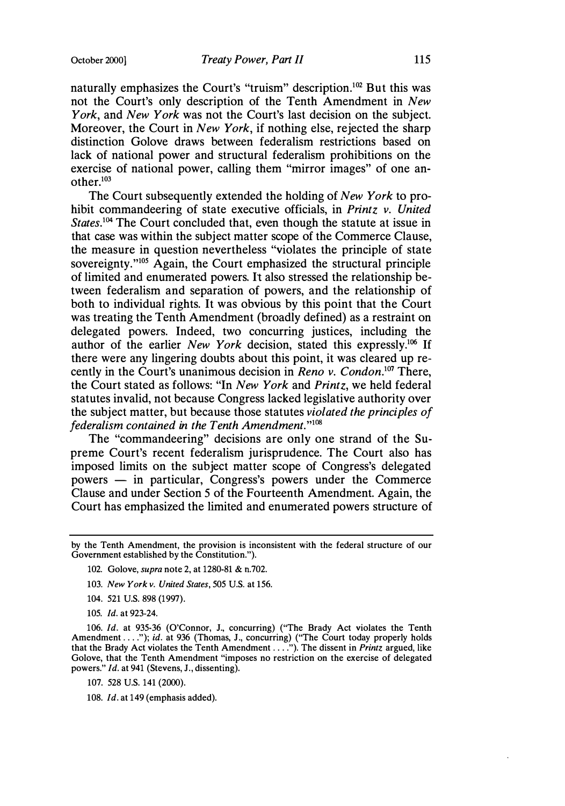naturally emphasizes the Court's "truism" description.102 But this was not the Court's only description of the Tenth Amendment in New York, and New York was not the Court's last decision on the subject. Moreover, the Court in New York, if nothing else, rejected the sharp distinction Golove draws between federalism restrictions based on lack of national power and structural federalism prohibitions on the exercise of national power, calling them "mirror images" of one another.103

The Court subsequently extended the holding of New York to prohibit commandeering of state executive officials, in Printz v. United States.<sup>104</sup> The Court concluded that, even though the statute at issue in that case was within the subject matter scope of the Commerce Clause, the measure in question nevertheless "violates the principle of state sovereignty."<sup>105</sup> Again, the Court emphasized the structural principle of limited and enumerated powers. It also stressed the relationship between federalism and separation of powers, and the relationship of both to individual rights. It was obvious by this point that the Court was treating the Tenth Amendment (broadly defined) as a restraint on delegated powers. Indeed, two concurring justices, including the author of the earlier New York decision, stated this expressly.<sup>106</sup> If there were any lingering doubts about this point, it was cleared up recently in the Court's unanimous decision in Reno  $v$ . Condon.<sup>107</sup> There, the Court stated as follows: "In New York and Printz, we held federal statutes invalid, not because Congress lacked legislative authority over the subject matter, but because those statutes violated the principles of federalism contained in the Tenth Amendment."108

The "commandeering" decisions are only one strand of the Supreme Court's recent federalism jurisprudence. The Court also has imposed limits on the subject matter scope of Congress's delegated  $powers$   $-$  in particular, Congress's powers under the Commerce Clause and under Section 5 of the Fourteenth Amendment. Again, the Court has emphasized the limited and enumerated powers structure of

- 104. 521 U.S. 898 (1997).
- 105. Id. at 923-24.

- 107. 528 U.S. 141 (2000).
- 108. Id. at 149 (emphasis added).

by the Tenth Amendment, the provision is inconsistent with the federal structure of our Government established by the Constitution.").

<sup>102.</sup> Golove, supra note 2, at 1280-81 & n.702.

<sup>103.</sup> New York v. United States, 505 U.S. at 156.

<sup>106.</sup> Id. at 935-36 (O'Connor, J., concurring) ("The Brady Act violates the Tenth Amendment ...."); id. at 936 (Thomas, J., concurring) ("The Court today properly holds that the Brady Act violates the Tenth Amendment . . ..."). The dissent in *Printz* argued, like Golove, that the Tenth Amendment "imposes no restriction on the exercise of delegated powers." Id. at 941 (Stevens, J., dissenting).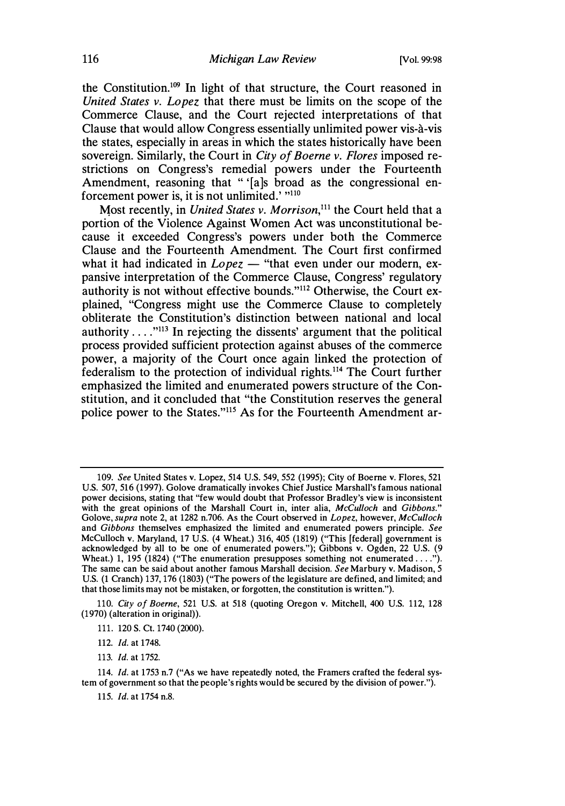the Constitution.109 In light of that structure, the Court reasoned in United States v. Lopez that there must be limits on the scope of the Commerce Clause, and the Court rejected interpretations of that Clause that would allow Congress essentially unlimited power vis-a-vis the states, especially in areas in which the states historically have been sovereign. Similarly, the Court in City of Boerne v. Flores imposed restrictions on Congress's remedial powers under the Fourteenth Amendment, reasoning that "'[a]s broad as the congressional enforcement power is, it is not unlimited.' "<sup>110</sup>

Most recently, in United States v. Morrison,<sup>111</sup> the Court held that a portion of the Violence Against Women Act was unconstitutional because it exceeded Congress's powers under both the Commerce Clause and the Fourteenth Amendment. The Court first confirmed what it had indicated in  $Lopez$  - "that even under our modern, expansive interpretation of the Commerce Clause, Congress' regulatory authority is not without effective bounds."112 Otherwise, the Court explained, "Congress might use the Commerce Clause to completely obliterate the Constitution's distinction between national and local authority  $\dots$ <sup>"113</sup> In rejecting the dissents' argument that the political process provided sufficient protection against abuses of the commerce power, a majority of the Court once again linked the protection of federalism to the protection of individual rights. 1 14 The Court further emphasized the limited and enumerated powers structure of the Constitution, and it concluded that "the Constitution reserves the general police power to the States."115 As for the Fourteenth Amendment ar-

113. Id. at 1752.

<sup>109.</sup> See United States v. Lopez, 514 U.S. 549, 552 (1995); City of Boerne v. Flores, 521 U.S. 507, 516 (1997). Golove dramatically invokes Chief Justice Marshall's famous national power decisions, stating that "few would doubt that Professor Bradley's view is inconsistent with the great opinions of the Marshall Court in, inter alia, McCulloch and Gibbons." Golove, supra note 2, at 1282 n.706. As the Court observed in Lopez, however, McCulloch and Gibbons themselves emphasized the limited and enumerated powers principle. See McCulloch v. Maryland, 17 U.S. (4 Wheat.) 316, 405 (1819) ("This (federal] government is acknowledged by all to be one of enumerated powers."); Gibbons v. Ogden, 22 U.S. (9 Wheat.) 1, 195 (1824) ("The enumeration presupposes something not enumerated .... "). The same can be said about another famous Marshall decision. See Marbury v. Madison, 5 U.S. (1 Cranch) 137, 176 (1803) ("The powers of the legislature are defined, and limited; and that those limits may not be mistaken, or forgotten, the constitution is written.").

<sup>110.</sup> City of Boerne, 521 U.S. at 518 (quoting Oregon v. Mitchell, 400 U.S. 112, 128 (1970) (alteration in original)).

<sup>111. 120</sup> S. Ct. 1740 (2000).

<sup>112.</sup> Id. at 1748.

<sup>114.</sup> Id. at 1753 n.7 ("As we have repeatedly noted, the Framers crafted the federal system of government so that the people's rights would be secured by the division of power.").

<sup>115.</sup> Id. at 1754 n.8.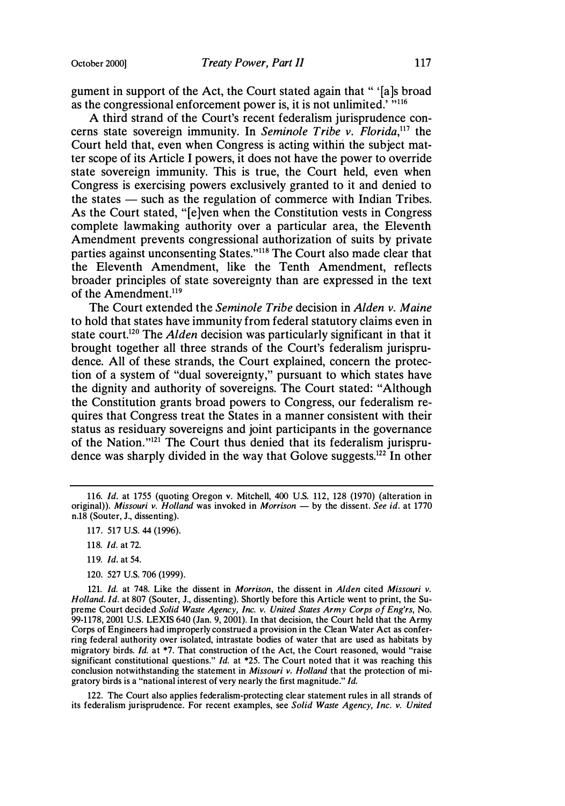gument in support of the Act, the Court stated again that " ' [a]s broad as the congressional enforcement power is, it is not unlimited.<sup> $\frac{1}{10}$ </sup>

A third strand of the Court's recent federalism jurisprudence concerns state sovereign immunity. In Seminole Tribe v. Florida, $117$  the Court held that, even when Congress is acting within the subject matter scope of its Article I powers, it does not have the power to override state sovereign immunity. This is true, the Court held, even when Congress is exercising powers exclusively granted to it and denied to the states  $-$  such as the regulation of commerce with Indian Tribes. As the Court stated, "[e]ven when the Constitution vests in Congress complete lawmaking authority over a particular area, the Eleventh Amendment prevents congressional authorization of suits by private parties against unconsenting States."118 The Court also made clear that the Eleventh Amendment, like the Tenth Amendment, reflects broader principles of state sovereignty than are expressed in the text of the Amendment.<sup>119</sup>

The Court extended the Seminole Tribe decision in Alden v. Maine to hold that states have immunity from federal statutory claims even in state court.<sup>120</sup> The *Alden* decision was particularly significant in that it brought together all three strands of the Court's federalism jurisprudence. All of these strands, the Court explained, concern the protection of a system of "dual sovereignty," pursuant to which states have the dignity and authority of sovereigns. The Court stated: "Although the Constitution grants broad powers to Congress, our federalism requires that Congress treat the States in a manner consistent with their status as residuary sovereigns and joint participants in the governance of the Nation."121 The Court thus denied that its federalism jurisprudence was sharply divided in the way that Golove suggests.122 In other

- 119. Id. at 54.
- 120. 527 U.S. 706 (1999).

121. Id. at 748. Like the dissent in Morrison, the dissent in Alden cited Missouri v. Holland. Id. at 807 (Souter, J., dissenting). Shortly before this Article went to print, the Supreme Court decided Solid Waste Agency, Inc. v. United States Army Corps of Eng'rs, No. 99-1178, 2001 U.S. LEXIS 640 (Jan. 9, 2001). In that decision, the Court held that the Army Corps of Engineers had improperly construed a provision in the Clean Water Act as conferring federal authority over isolated, intrastate bodies of water that are used as habitats by migratory birds. Id. at \*7. That construction of the Act, the Court reasoned, would "raise significant constitutional questions." Id. at \*25. The Court noted that it was reaching this conclusion notwithstanding the statement in *Missouri v. Holland* that the protection of migratory birds is a "national interest of very nearly the first magnitude." Id.

122. The Court also applies federalism-protecting clear statement rules in all strands of its federalism jurisprudence. For recent examples, see Solid Waste Agency, Inc. v. United

<sup>116.</sup> Id. at 1755 (quoting Oregon v. Mitchell, 400 U.S. 112, 128 (1970) (alteration in original)). Missouri v. Holland was invoked in Morrison  $-$  by the dissent. See id. at 1770 n.18 (Souter, J., dissenting).

<sup>117. 517</sup> U.S. 44 (1996).

<sup>118.</sup> Id. at 72.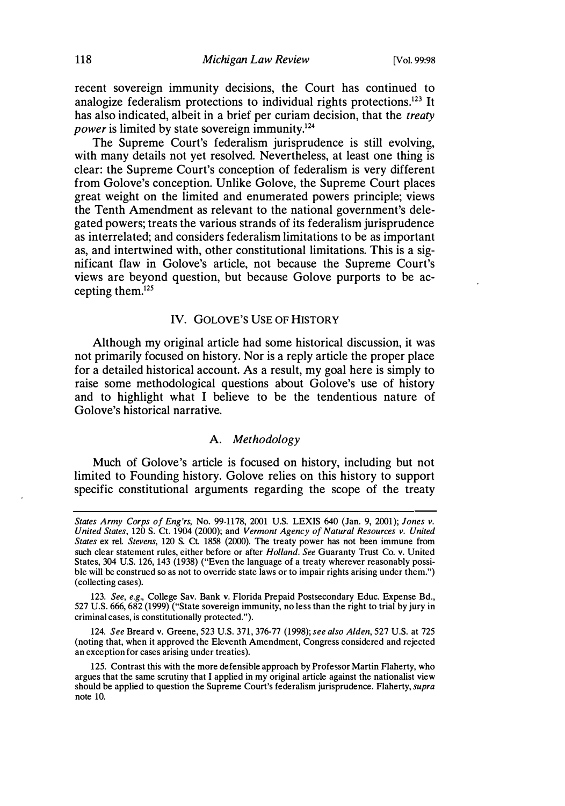recent sovereign immunity decisions, the Court has continued to analogize federalism protections to individual rights protections.123 It has also indicated, albeit in a brief per curiam decision, that the treaty power is limited by state sovereign immunity.<sup>124</sup>

The Supreme Court's federalism jurisprudence is still evolving, with many details not yet resolved. Nevertheless, at least one thing is clear: the Supreme Court's conception of federalism is very different from Golove's conception. Unlike Golove, the Supreme Court places great weight on the limited and enumerated powers principle; views the Tenth Amendment as relevant to the national government's delegated powers; treats the various strands of its federalism jurisprudence as interrelated; and considers federalism limitations to be as important as, and intertwined with, other constitutional limitations. This is a significant flaw in Golove's article, not because the Supreme Court's views are beyond question, but because Golove purports to be accepting them.125

#### IV. GOLOVE'S USE OF HISTORY

Although my original article had some historical discussion, it was not primarily focused on history. Nor is a reply article the proper place for a detailed historical account. As a result, my goal here is simply to raise some methodological questions about Golove's use of history and to highlight what I believe to be the tendentious nature of Golove's historical narrative.

#### A. Methodology

Much of Golove's article is focused on history, including but not limited to Founding history. Golove relies on this history to support specific constitutional arguments regarding the scope of the treaty

States Army Corps of Eng'rs, No. 99-1178, 2001 U.S. LEXIS 640 (Jan. 9, 2001); Jones v. United States, 120 S. Ct. 1904 (2000); and Vermont Agency of Natural Resources v. United States ex rel Stevens, 120 S. Ct. 1858 (2000). The treaty power has not been immune from such clear statement rules, either before or after Holland. See Guaranty Trust Co. v. United States, 304 U.S. 126, 143 (1938) ("Even the language of a treaty wherever reasonably possible will be construed so as not to override state laws or to impair rights arising under them.") (collecting cases).

<sup>123.</sup> See, e.g., College Sav. Bank v. Florida Prepaid Postsecondary Educ. Expense Bd., 527 U.S. 666, 682 (1999) ("State sovereign immunity, no less than the right to trial by jury in criminal cases, is constitutionally protected.").

<sup>124.</sup> See Breard v. Greene, 523 U.S. 371, 376-77 (1998); see also Alden, 527 U.S. at 725 (noting that, when it approved the Eleventh Amendment, Congress considered and rejected an exception for cases arising under treaties).

<sup>125.</sup> Contrast this with the more defensible approach by Professor Martin Flaherty, who argues that the same scrutiny that I applied in my original article against the nationalist view should be applied to question the Supreme Court's federalism jurisprudence. Flaherty, supra note 10.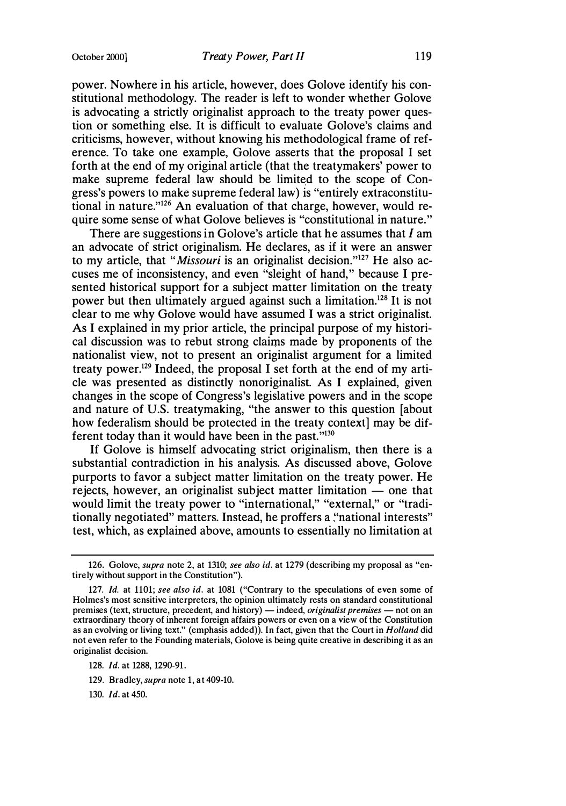#### October 2000] **Treaty Power, Part II** 119

power. Nowhere in his article, however, does Golove identify his constitutional methodology. The reader is left to wonder whether Golove is advocating a strictly originalist approach to the treaty power question or something else. It is difficult to evaluate Golove's claims and criticisms, however, without knowing his methodological frame of reference. To take one example, Golove asserts that the proposal I set forth at the end of my original article (that the treatymakers' power to make supreme federal law should be limited to the scope of Congress's powers to make supreme federal law) is "entirely extraconstitutional in nature."126 An evaluation of that charge, however, would require some sense of what Golove believes is "constitutional in nature."

There are suggestions in Golove's article that he assumes that  $I$  am an advocate of strict originalism. He declares, as if it were an answer to my article, that "Missouri is an originalist decision."<sup>127</sup> He also accuses me of inconsistency, and even "sleight of hand," because I presented historical support for a subject matter limitation on the treaty power but then ultimately argued against such a limitation.128 It is not clear to me why Golove would have assumed I was a strict originalist. As I explained in my prior article, the principal purpose of my historical discussion was to rebut strong claims made by proponents of the nationalist view, not to present an originalist argument for a limited treaty power.129 Indeed, the proposal I set forth at the end of my article was presented as distinctly nonoriginalist. As I explained, given changes in the scope of Congress's legislative powers and in the scope and nature of U.S. treatymaking, "the answer to this question [about how federalism should be protected in the treaty context] may be different today than it would have been in the past."130

If Golove is himself advocating strict originalism, then there is a substantial contradiction in his analysis. As discussed above, Golove purports to favor a subject matter limitation on the treaty power. He rejects, however, an originalist subject matter limitation  $\overline{\phantom{a}}$  one that would limit the treaty power to "international," "external," or "traditionally negotiated" matters. Instead, he proffers a "national interests" test, which, as explained above, amounts to essentially no limitation at

- 129. Bradley, supra note 1, at 409-10.
- 130. Id. at 450.

<sup>126.</sup> Golove, supra note 2, at 1310; see also id. at 1279 (describing my proposal as "entirely without support in the Constitution").

<sup>127.</sup> Id. at 1101; see also id. at 1081 ("Contrary to the speculations of even some of Holmes's most sensitive interpreters, the opinion ultimately rests on standard constitutional premises (text, structure, precedent, and history) — indeed, *originalist premises* — not on an extraordinary theory of inherent foreign affairs powers or even on a view of the Constitution as an evolving or living text." (emphasis added)). In fact, given that the Court in Holland did not even refer to the Founding materials, Golove is being quite creative in describing it as an originalist decision.

<sup>128.</sup> Id. at 1288, 1290-91.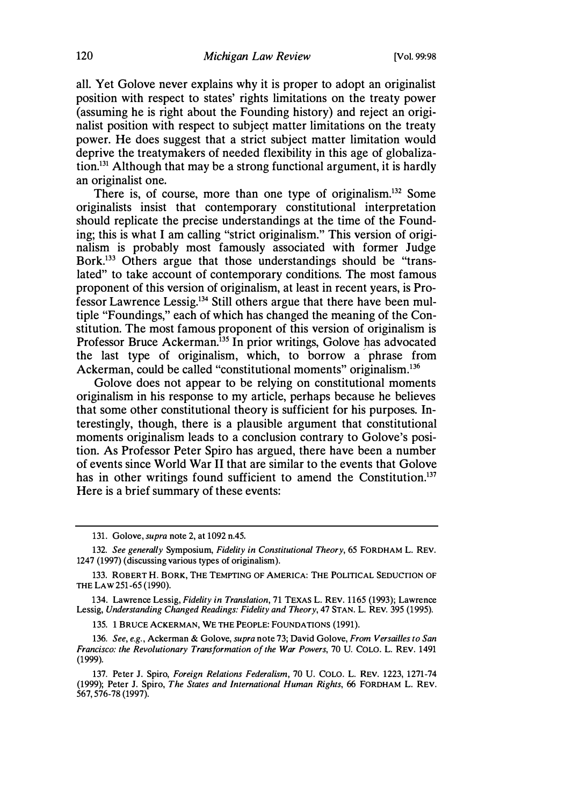all. Yet Golove never explains why it is proper to adopt an originalist position with respect to states' rights limitations on the treaty power (assuming he is right about the Founding history) and reject an originalist position with respect to subject matter limitations on the treaty power. He does suggest that a strict subject matter limitation would deprive the treatymakers of needed flexibility in this age of globalization.131 Although that may be a strong functional argument, it is hardly an originalist one.

There is, of course, more than one type of originalism.<sup>132</sup> Some originalists insist that contemporary constitutional interpretation should replicate the precise understandings at the time of the Founding; this is what I am calling "strict originalism." This version of originalism is probably most famously associated with former Judge Bork.133 Others argue that those understandings should be "translated" to take account of contemporary conditions. The most famous proponent of this version of originalism, at least in recent years, is Professor Lawrence Lessig.134 Still others argue that there have been multiple "Foundings," each of which has changed the meaning of the Constitution. The most famous proponent of this version of originalism is Professor Bruce Ackerman.<sup>135</sup> In prior writings, Golove has advocated the last type of originalism, which, to borrow a phrase from Ackerman, could be called "constitutional moments" originalism.<sup>136</sup>

Golove does not appear to be relying on constitutional moments originalism in his response to my article, perhaps because he believes that some other constitutional theory is sufficient for his purposes. Interestingly, though, there is a plausible argument that constitutional moments originalism leads to a conclusion contrary to Golove's position. As Professor Peter Spiro has argued, there have been a number of events since World War II that are similar to the events that Golove has in other writings found sufficient to amend the Constitution.<sup>137</sup> Here is a brief summary of these events:

<sup>131.</sup> Golove, supra note 2, at 1092 n.45.

<sup>132.</sup> See generally Symposium, Fidelity in Constitutional Theory, 65 FORDHAM L. REV. 1247 (1997) (discussing various types of originalism).

<sup>133.</sup> ROBERT H. BORK, THE TEMPTING OF AMERICA: THE POLITICAL SEDUCTION OF THE LAW 251-65 (1990).

<sup>134.</sup> Lawrence Lessig, Fidelity in Translation, 71 TEXAS L. REV. 1165 (1993); Lawrence Lessig, Understanding Changed Readings: Fidelity and Theory, 47 STAN. L. REV. 395 (1995).

<sup>135. 1</sup> BRUCE ACKERMAN, WE THE PEOPLE: FOUNDATIONS (1991).

<sup>136.</sup> See, e.g., Ackerman & Golove, supra note 73; David Golove, From Versailles to San Francisco: the Revolutionary Transformation of the War Powers, 70 U. COLO. L. REV. 1491 (1999).

<sup>137.</sup> Peter J. Spiro, Foreign Relations Federalism, 70 U. COLO. L. REV. 1223, 1271-74 (1999); Peter J. Spiro, The States and International Human Rights, 66 FORDHAM L. REV. 567, 576-78 (1997).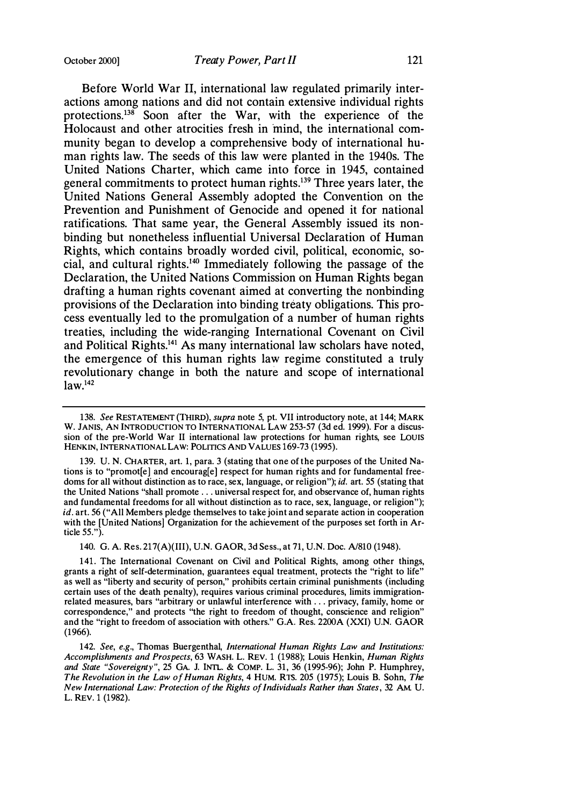Before World War II, international law regulated primarily interactions among nations and did not contain extensive individual rights protections.<sup>138</sup> Soon after the War, with the experience of the Holocaust and other atrocities fresh in mind, the international community began to develop a comprehensive body of international human rights law. The seeds of this law were planted in the 1940s. The United Nations Charter, which came into force in 1945, contained general commitments to protect human rights.139 Three years later, the United Nations General Assembly adopted the Convention on the Prevention and Punishment of Genocide and opened it for national ratifications. That same year, the General Assembly issued its nonbinding but nonetheless influential Universal Declaration of Human Rights, which contains broadly worded civil, political, economic, social, and cultural rights.140 Immediately following the passage of the Declaration, the United Nations Commission on Human Rights began drafting a human rights covenant aimed at converting the nonbinding provisions of the Declaration into binding treaty obligations. This process eventually led to the promulgation of a number of human rights treaties, including the wide-ranging International Covenant on Civil and Political Rights.<sup>141</sup> As many international law scholars have noted, the emergence of this human rights law regime constituted a truly revolutionary change in both the nature and scope of international  $law.<sup>142</sup>$ 

139. U. N. CHARTER, art. 1, para. 3 (stating that one of the purposes of the United Nations is to "promot[e) and encourag[e) respect for human rights and for fundamental freedoms for all without distinction as to race, sex, language, or religion"); id. art. 55 (stating that the United Nations "shall promote ... universal respect for, and observance of, human rights and fundamental freedoms for all without distinction as to race, sex, language, or religion"); id. art. 56 ("All Members pledge themselves to take joint and separate action in cooperation with the (United Nations) Organization for the achievement of the purposes set forth in Article 55.").

140. G. A. Res. 217(A)(III), U.N. GAOR, 3d Sess., at 71, U.N. Doc. N810 (1948).

141. The International Covenant on Civil and Political Rights, among other things, grants a right of self-determination, guarantees equal treatment, protects the "right to life" as well as "liberty and security of person," prohibits certain criminal punishments (including certain uses of the death penalty), requires various criminal procedures, limits immigrationrelated measures, bars "arbitrary or unlawful interference with ... privacy, family, home or correspondence," and protects "the right to freedom of thought, conscience and religion" and the "right to freedom of association with others." G.A. Res. 2200A (XXI) U.N. GAOR (1966).

142. See, e.g., Thomas Buergenthal, International Human Rights Law and Institutions: Accomplishments and Prospects, 63 WASH. L. REV. 1 (1988); Louis Henkin, Human Rights and State "Sovereignty", 25 GA. J. INTL. & COMP. L. 31, 36 (1995-96); John P. Humphrey, The Revolution in the Law of Human Rights, 4 HUM. RTS. 205 (1975); Louis B. Sohn, The New International Law: Protection of the Rights of Individuals Rather than States, 32 AM. U. L. REV. 1 (1982).

<sup>138.</sup> See RESTATEMENT (THIRD), supra note 5, pt. VII introductory note, at 144; MARK W. JANIS, AN INTRODUCTION TO INTERNATIONAL LAW 253-57 (3d ed. 1999). For a discussion of the pre-World War II international law protections for human rights, see LOUIS HENKIN, INTERNATIONAL LAW: POLITICS AND VALUES 169-73 (1995).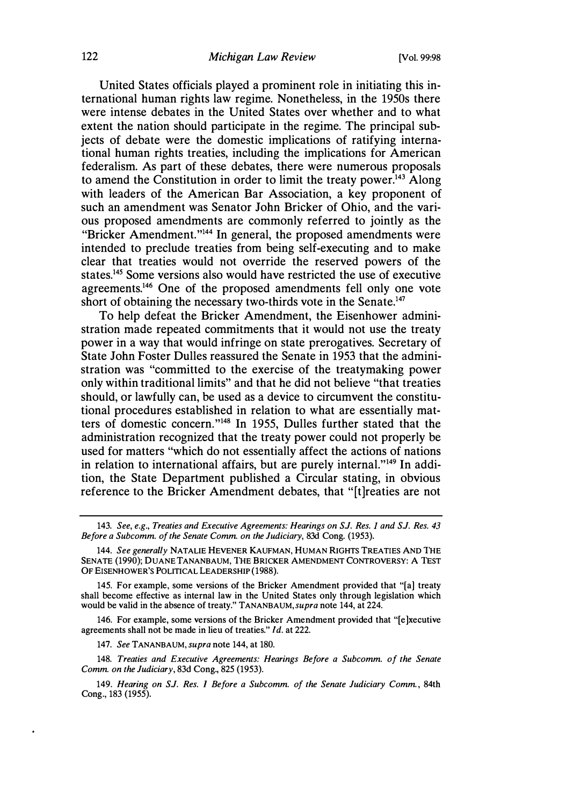United States officials played a prominent role in initiating this international human rights law regime. Nonetheless, in the 1950s there were intense debates in the United States over whether and to what extent the nation should participate in the regime. The principal subjects of debate were the domestic implications of ratifying international human rights treaties, including the implications for American federalism. As part of these debates, there were numerous proposals to amend the Constitution in order to limit the treaty power.<sup>143</sup> Along with leaders of the American Bar Association, a key proponent of such an amendment was Senator John Bricker of Ohio, and the various proposed amendments are commonly referred to jointly as the "Bricker Amendment."144 In general, the proposed amendments were intended to preclude treaties from being self-executing and to make clear that treaties would not override the reserved powers of the states.<sup>145</sup> Some versions also would have restricted the use of executive agreements.146 One of the proposed amendments fell only one vote short of obtaining the necessary two-thirds vote in the Senate.<sup>147</sup>

To help defeat the Bricker Amendment, the Eisenhower administration made repeated commitments that it would not use the treaty power in a way that would infringe on state prerogatives. Secretary of State John Foster Dulles reassured the Senate in 1953 that the administration was "committed to the exercise of the treatymaking power only within traditional limits" and that he did not believe "that treaties should, or lawfully can, be used as a device to circumvent the constitutional procedures established in relation to what are essentially matters of domestic concern."148 In 1955, Dulles further stated that the administration recognized that the treaty power could not properly be used for matters "which do not essentially affect the actions of nations in relation to international affairs, but are purely internal."149 In addition, the State Department published a Circular stating, in obvious reference to the Bricker Amendment debates, that "[t]reaties are not

146. For example, some versions of the Bricker Amendment provided that "[e]xecutive agreements shall not be made in lieu of treaties." ld. at 222.

147. See TANANBAUM, supra note 144, at 180.

148. Treaties and Executive Agreements: Hearings Before a Subcomm. of the Senate Comm. on the Judiciary, 83d Cong., 825 (1953).

<sup>143.</sup> See, e.g., Treaties and Executive Agreements: Hearings on S.J. Res. 1 and S.J. Res. 43 Before a Subcomm. of the Senate Comm. on the Judiciary, 83d Cong. (1953).

<sup>144.</sup> See generally NATALIE HEVENER KAUFMAN, HUMAN RIGHTS TREATIES AND THE SENATE (1990); DUANE TANANBAUM, THE BRICKER AMENDMENT CONTROVERSY: A TEST OF EISENHOWER'S POLITICAL LEADERSHIP (1988).

<sup>145.</sup> For example, some versions of the Bricker Amendment provided that "[a] treaty shall become effective as internal law in the United States only through legislation which would be valid in the absence of treaty." TANANBAUM, supra note 144, at 224.

<sup>149.</sup> Hearing on S.J. Res. 1 Before a Subcomm. of the Senate Judiciary Comm. , 84th Cong., 183 (1955).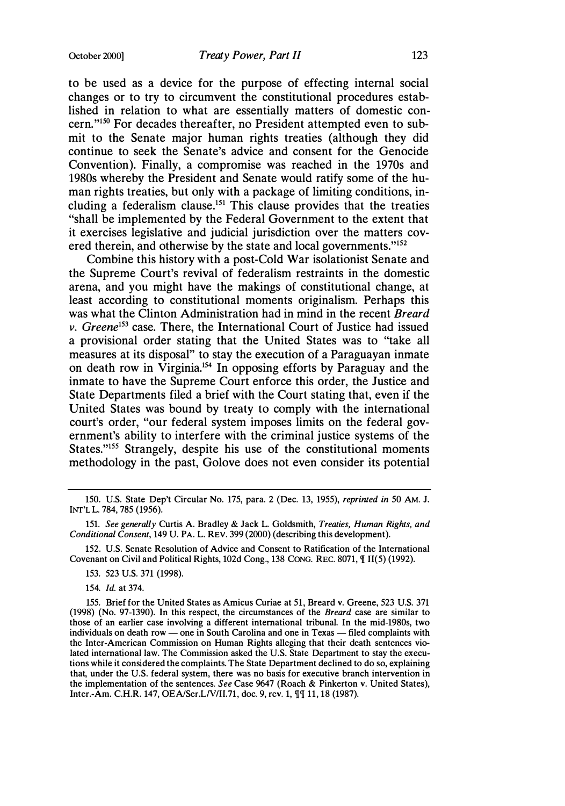to be used as a device for the purpose of effecting internal social changes or to try to circumvent the constitutional procedures established in relation to what are essentially matters of domestic concern. "150 For decades thereafter, no President attempted even to submit to the Senate major human rights treaties (although they did continue to seek the Senate's advice and consent for the Genocide Convention). Finally, a compromise was reached in the 1970s and 1980s whereby the President and Senate would ratify some of the human rights treaties, but only with a package of limiting conditions, including a federalism clause.<sup>151</sup> This clause provides that the treaties "shall be implemented by the Federal Government to the extent that it exercises legislative and judicial jurisdiction over the matters covered therein, and otherwise by the state and local governments."152

Combine this history with a post-Cold War isolationist Senate and the Supreme Court's revival of federalism restraints in the domestic arena, and you might have the makings of constitutional change, at least according to constitutional moments originalism. Perhaps this was what the Clinton Administration had in mind in the recent Breard  $v$ . Greene<sup>153</sup> case. There, the International Court of Justice had issued a provisional order stating that the United States was to "take all measures at its disposal" to stay the execution of a Paraguayan inmate on death row in Virginia.154 In opposing efforts by Paraguay and the inmate to have the Supreme Court enforce this order, the Justice and State Departments filed a brief with the Court stating that, even if the United States was bound by treaty to comply with the international court's order, "our federal system imposes limits on the federal government's ability to interfere with the criminal justice systems of the States."155 Strangely, despite his use of the constitutional moments methodology in the past, Golove does not even consider its potential

152. U.S. Senate Resolution of Advice and Consent to Ratification of the International Covenant on Civil and Political Rights, 102d Cong., 138 CONG. REC. 8071,  $\P$  II(5) (1992).

153. 523 U.S. 371 (1998).

154. Id. at 374.

<sup>150.</sup> U.S. State Dep't Circular No. 175, para. 2 (Dec. 13, 1955), reprinted in 50 AM. J. INT'L L. 784, 785 (1956).

<sup>151.</sup> See generally Curtis A. Bradley & Jack L. Goldsmith, Treaties, Human Rights, and Conditional Consent, 149 U. PA. L. REV. 399 (2000) (describing this development).

<sup>155.</sup> Brief for the United States as Amicus Curiae at 51, Breard v. Greene, 523 U.S. 371 (1998) (No. 97-1390). In this respect, the circumstances of the Breard case are similar to those of an earlier case involving a different international tribunal. In the mid-1980s, two individuals on death row — one in South Carolina and one in Texas — filed complaints with the Inter-American Commission on Human Rights alleging that their death sentences violated international law. The Commission asked the U.S. State Department to stay the executions while it considered the complaints. The State Department declined to do so, explaining that, under the U.S. federal system, there was no basis for executive branch intervention in the implementation of the sentences. See Case 9647 (Roach & Pinkerton v. United States), Inter.-Am. C.H.R. 147, OEA/Ser.L/V/II.71, doc. 9, rev. 1,  $\P$  | 11, 18 (1987).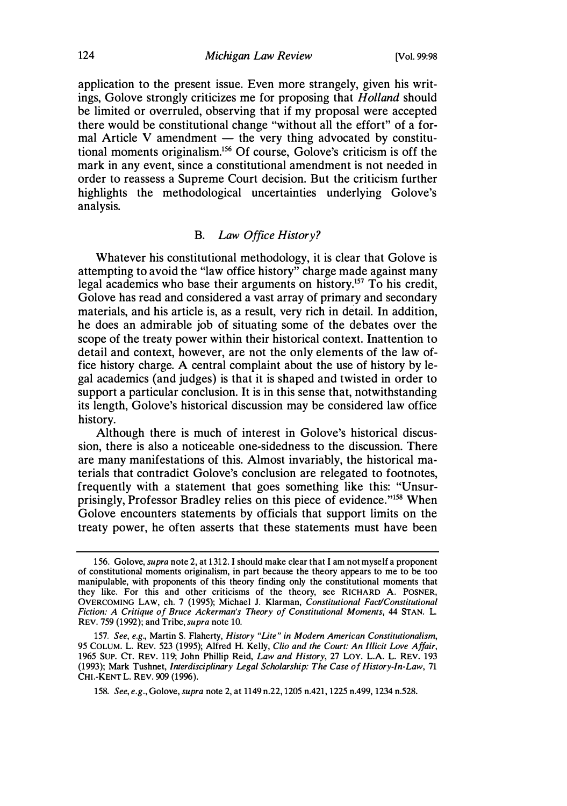application to the present issue. Even more strangely, given his writings, Golove strongly criticizes me for proposing that Holland should be limited or overruled, observing that if my proposal were accepted there would be constitutional change "without all the effort" of a formal Article V amendment  $-$  the very thing advocated by constitutional moments originalism.156 Of course, Golove's criticism is off the mark in any event, since a constitutional amendment is not needed in order to reassess a Supreme Court decision. But the criticism further highlights the methodological uncertainties underlying Golove's analysis.

### B. Law Office History?

Whatever his constitutional methodology, it is clear that Golove is attempting to avoid the "law office history" charge made against many legal academics who base their arguments on history.157 To his credit, Golove has read and considered a vast array of primary and secondary materials, and his article is, as a result, very rich in detail. In addition, he does an admirable job of situating some of the debates over the scope of the treaty power within their historical context. Inattention to detail and context, however, are not the only elements of the law office history charge. A central complaint about the use of history by legal academics (and judges) is that it is shaped and twisted in order to support a particular conclusion. It is in this sense that, notwithstanding its length, Golove's historical discussion may be considered law office history.

Although there is much of interest in Golove's historical discussion, there is also a noticeable one-sidedness to the discussion. There are many manifestations of this. Almost invariably, the historical materials that contradict Golove's conclusion are relegated to footnotes, frequently with a statement that goes something like this: "Unsurprisingly, Professor Bradley relies on this piece of evidence."158 When Golove encounters statements by officials that support limits on the treaty power, he often asserts that these statements must have been

<sup>156.</sup> Golove, supra note 2, at 1312. I should make clear that I am not myself a proponent of constitutional moments originalism, in part because the theory appears to me to be too manipulable, with proponents of this theory finding only the constitutional moments that they like. For this and other criticisms of the theory, see RICHARD A. POSNER, OVERCOMING LAW, ch. 7 (1995); Michael J. Klarman, Constitutional Fact/Constitutional Fiction: A Critique of Bruce Ackerman's Theory of Constitutional Moments, 44 STAN. L. REV. 759 (1992); and Tribe, supra note 10.

<sup>157.</sup> See, e.g., Martin S. Flaherty, History "Lite" in Modern American Constitutionalism, 95 COLUM. L. REV. 523 (1995); Alfred H. Kelly, Clio and the Court: An Illicit Love Affair, 1965 SUP. CT. REV. 119; John Phillip Reid, Law and History, 27 LOY. L.A. L. REV. 193 (1993); Mark Tushnet, Interdisciplinary Legal Scholarship: The Case of History-In-Law, 71 CHI.-KENT L. REV. 909 (1996).

<sup>158.</sup> See, e.g., Golove, supra note 2, at 1149 n.22, 1205 n.421, 1225 n.499, 1234 n.528.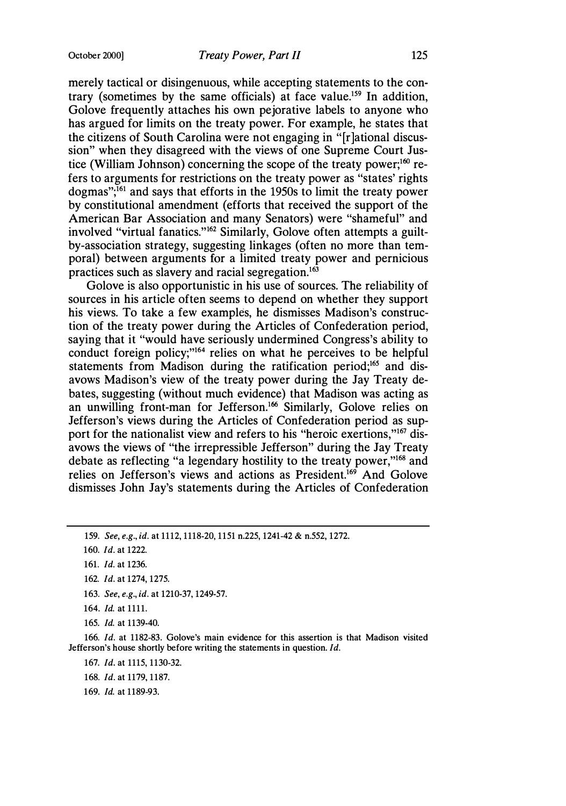merely tactical or disingenuous, while accepting statements to the contrary (sometimes by the same officials) at face value.159 In addition, Golove frequently attaches his own pejorative labels to anyone who has argued for limits on the treaty power. For example, he states that the citizens of South Carolina were not engaging in " [r]ational discussion" when they disagreed with the views of one Supreme Court Justice (William Johnson) concerning the scope of the treaty power;<sup>160</sup> refers to arguments for restrictions on the treaty power as "states' rights dogmas";161 and says that efforts in the 1950s to limit the treaty power by constitutional amendment (efforts that received the support of the American Bar Association and many Senators) were "shameful" and involved "virtual fanatics."162 Similarly, Golove often attempts a guiltby-association strategy, suggesting linkages {often no more than temporal) between arguments for a limited treaty power and pernicious practices such as slavery and racial segregation.<sup>163</sup>

Golove is also opportunistic in his use of sources. The reliability of sources in his article often seems to depend on whether they support his views. To take a few examples, he dismisses Madison's construction of the treaty power during the Articles of Confederation period, saying that it "would have seriously undermined Congress's ability to conduct foreign policy;"<sup>164</sup> relies on what he perceives to be helpful statements from Madison during the ratification period;<sup>165</sup> and disavows Madison's view of the treaty power during the Jay Treaty debates, suggesting (without much evidence) that Madison was acting as an unwilling front-man for Jefferson.<sup>166</sup> Similarly, Golove relies on Jefferson's views during the Articles of Confederation period as support for the nationalist view and refers to his "heroic exertions,"167 disavows the views of "the irrepressible Jefferson" during the Jay Treaty debate as reflecting "a legendary hostility to the treaty power,"168 and relies on Jefferson's views and actions as President.<sup>169</sup> And Golove dismisses John Jay's statements during the Articles of Confederation

163. See, e.g., id. at 1210-37, 1249-57.

165. Id. at 1139-40.

166. Id. at 1182-83. Golove's main evidence for this assertion is that Madison visited Jefferson's house shortly before writing the statements in question. Id.

167. Id. at 1115, 1130-32.

168. Id. at 1179, 1187.

169. Id. at 1189-93.

<sup>159.</sup> See, e.g., id. at 1112, 1118-20, 1151 n.225, 1241-42 & n.552, 1272.

<sup>160.</sup> Id. at 1222.

<sup>161.</sup> Id. at 1236.

<sup>162.</sup> Id. at 1274, 1275.

<sup>164.</sup> Id. at 1111.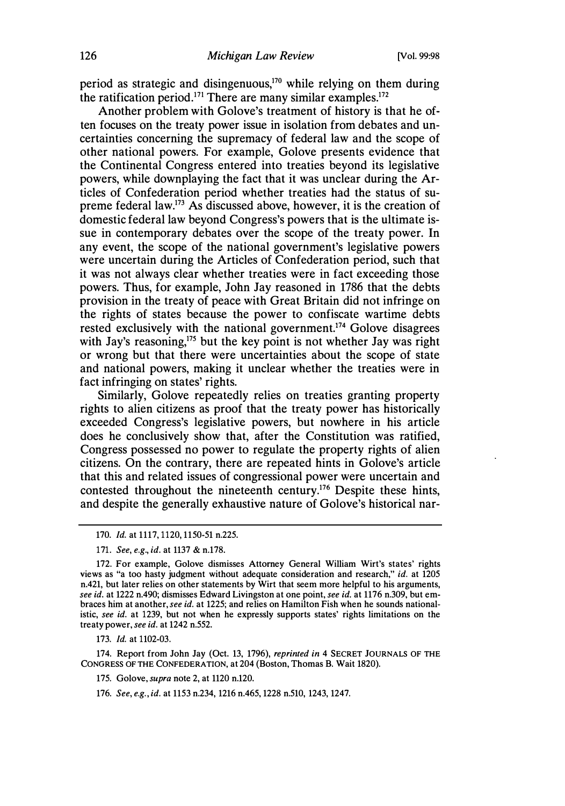period as strategic and disingenuous,<sup>170</sup> while relying on them during the ratification period.<sup>171</sup> There are many similar examples.<sup>172</sup>

Another problem with Golove's treatment of history is that he often focuses on the treaty power issue in isolation from debates and uncertainties concerning the supremacy of federal law and the scope of other national powers. For example, Golove presents evidence that the Continental Congress entered into treaties beyond its legislative powers, while downplaying the fact that it was unclear during the Articles of Confederation period whether treaties had the status of supreme federal law.173 As discussed above, however, it is the creation of domestic federal law beyond Congress's powers that is the ultimate issue in contemporary debates over the scope of the treaty power. In any event, the scope of the national government's legislative powers were uncertain during the Articles of Confederation period, such that it was not always clear whether treaties were in fact exceeding those powers. Thus, for example, John Jay reasoned in 1786 that the debts provision in the treaty of peace with Great Britain did not infringe on the rights of states because the power to confiscate wartime debts rested exclusively with the national government.174 Golove disagrees with Jay's reasoning,<sup>175</sup> but the key point is not whether Jay was right or wrong but that there were uncertainties about the scope of state and national powers, making it unclear whether the treaties were in fact infringing on states' rights.

Similarly, Golove repeatedly relies on treaties granting property rights to alien citizens as proof that the treaty power has historically exceeded Congress's legislative powers, but nowhere in his article does he conclusively show that, after the Constitution was ratified, Congress possessed no power to regulate the property rights of alien citizens. On the contrary, there are repeated hints in Golove's article that this and related issues of congressional power were uncertain and contested throughout the nineteenth century.176 Despite these hints, and despite the generally exhaustive nature of Golove's historical nar-

174. Report from John Jay (Oct. 13, 1796), reprinted in 4 SECRET JOURNALS OF THE CONGRESS OF THE CONFEDERATION, at 204 (Boston, Thomas B. Wait 1820).

175. Golove, supra note 2, at 1120 n.120.

176. See, e.g. , id. at 1153 n.234, 1216 n.465, 1228 n.510, 1243, 1247.

<sup>170.</sup> Id. at 1117, 1120, 1150-51 n.225.

<sup>171.</sup> See, e.g., id. at 1137 & n.178.

<sup>172.</sup> For example, Golove dismisses Attorney General William Wirt's states' rights views as "a too hasty judgment without adequate consideration and research," id. at 1205 n.421, but later relies on other statements by Wirt that seem more helpful to his arguments, see id. at 1222 n.490; dismisses Edward Livingston at one point, see id. at 1176 n.309, but embraces him at another, see id. at 1225; and relies on Hamilton Fish when he sounds nationalistic, see id. at 1239, but not when he expressly supports states' rights limitations on the treaty power, see id. at 1242 n.552.

<sup>173.</sup> Id. at 1102-03.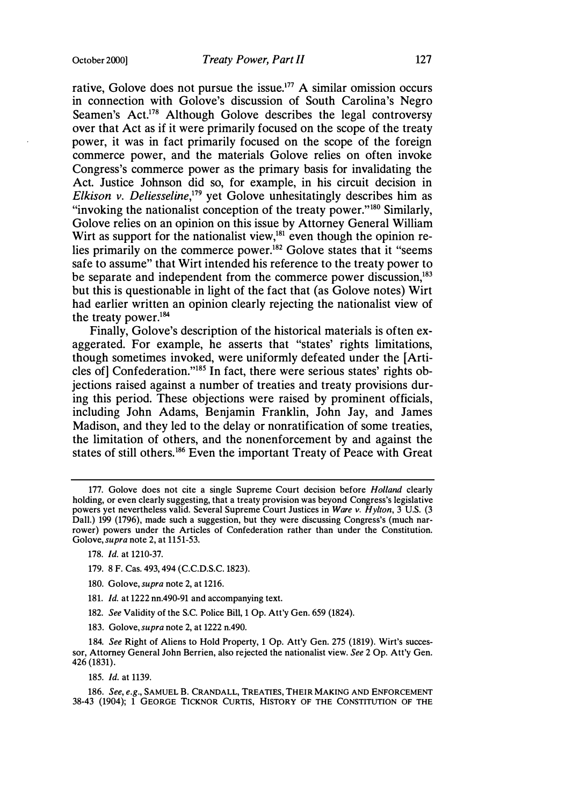rative, Golove does not pursue the issue.<sup>177</sup> A similar omission occurs in connection with Golove's discussion of South Carolina's Negro Seamen's Act.<sup>178</sup> Although Golove describes the legal controversy over that Act as if it were primarily focused on the scope of the treaty power, it was in fact primarily focused on the scope of the foreign commerce power, and the materials Golove relies on often invoke Congress's commerce power as the primary basis for invalidating the Act. Justice Johnson did so, for example, in his circuit decision in Elkison v. Deliesseline,<sup>179</sup> yet Golove unhesitatingly describes him as "invoking the nationalist conception of the treaty power."<sup>180</sup> Similarly, Golove relies on an opinion on this issue by Attorney General William Wirt as support for the nationalist view,<sup>181</sup> even though the opinion relies primarily on the commerce power.<sup>182</sup> Golove states that it "seems safe to assume" that Wirt intended his reference to the treaty power to be separate and independent from the commerce power discussion,<sup>183</sup> but this is questionable in light of the fact that (as Golove notes) Wirt had earlier written an opinion clearly rejecting the nationalist view of the treaty power.184

Finally, Golove's description of the historical materials is often exaggerated. For example, he asserts that "states' rights limitations, though sometimes invoked, were uniformly defeated under the [Articles of] Confederation."185 In fact, there were serious states' rights objections raised against a number of treaties and treaty provisions during this period. These objections were raised by prominent officials, including John Adams, Benjamin Franklin, John Jay, and James Madison, and they led to the delay or nonratification of some treaties, the limitation of others, and the nonenforcement by and against the states of still others.186 Even the important Treaty of Peace with Great

- 178. Id. at 1210-37.
- 179. 8 F. Cas. 493, 494 (C.C.D.S.C. 1823).
- 180. Golove, supra note 2, at 1216.
- 181. Id. at 1222 nn.490-91 and accompanying text.
- 182. See Validity of the S.C. Police Bill, 1 Op. Att'y Gen. 659 (1824).
- 183. Golove, supra note 2, at 1222 n.490.

184. See Right of Aliens to Hold Property, 1 Op. Att'y Gen. 275 (1819). Wirt's successor, Attorney General John Berrien, also rejected the nationalist view. See 2 Op. Att'y Gen. 426 (1831).

185. Id. at 1139.

186. See, e.g., SAMUEL B. CRANDALL, TREATIES, THEIR MAKING AND ENFORCEMENT 38-43 (1904); 1 GEORGE TICKNOR CURTIS, HISTORY OF THE CONSTITUTION OF THE

<sup>177.</sup> Golove does not cite a single Supreme Court decision before *Holland* clearly holding, or even clearly suggesting, that a treaty provision was beyond Congress's legislative powers yet nevertheless valid. Several Supreme Court Justices in Ware v. Hylton, 3 U.S. (3 Dall.) 199 (1796), made such a suggestion, but they were discussing Congress's (much narrower) powers under the Articles of Confederation rather than under the Constitution. Golove, supra note 2, at 1151-53.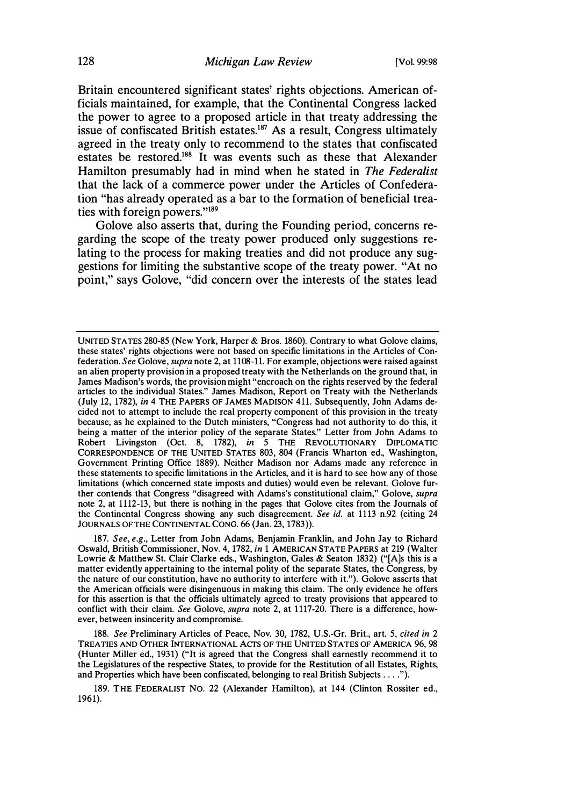Britain encountered significant states' rights objections. American officials maintained, for example, that the Continental Congress lacked the power to agree to a proposed article in that treaty addressing the issue of confiscated British estates.<sup>187</sup> As a result, Congress ultimately agreed in the treaty only to recommend to the states that confiscated estates be restored.188 It was events such as these that Alexander Hamilton presumably had in mind when he stated in The Federalist that the lack of a commerce power under the Articles of Confederation "has already operated as a bar to the formation of beneficial treaties with foreign powers."189

Golove also asserts that, during the Founding period, concerns regarding the scope of the treaty power produced only suggestions relating to the process for making treaties and did not produce any suggestions for limiting the substantive scope of the treaty power. "At no point," says Golove, "did concern over the interests of the states lead

187. See, e.g., Letter from John Adams, Benjamin Franklin, and John Jay to Richard Oswald, British Commissioner, Nov. 4, 1782, in 1 AMERICAN STATE PAPERS at 219 (Walter Lowrie & Matthew St. Clair Clarke eds., Washington, Gales & Seaton 1832) ("[A]s this is a matter evidently appertaining to the internal polity of the separate States, the Congress, by the nature of our constitution, have no authority to interfere with it."). Golove asserts that the American officials were disingenuous in making this claim. The only evidence he offers for this assertion is that the officials ultimately agreed to treaty provisions that appeared to conflict with their claim. See Golove, supra note 2, at 1117-20. There is a difference, however, between insincerity and compromise.

188. See Preliminary Articles of Peace, Nov. 30, 1782, U.S.-Gr. Brit., art. 5, cited in 2 TREATIES AND OTHER INTERNATIONAL ACTS OF THE UNITED STATES OF AMERICA 96, 98 (Hunter Miller ed., 1931) ("It is agreed that the Congress shall earnestly recommend it to the Legislatures of the respective States, to provide for the Restitution of all Estates, Rights, and Properties which have been confiscated, belonging to real British Subjects .... ").

UNITED STATES 280-85 (New York, Harper & Bros. 1860). Contrary to what Golove claims, these states' rights objections were not based on specific limitations in the Articles of Confederation. See Golove, supra note 2, at 1108-11. For example, objections were raised against an alien property provision in a proposed treaty with the Netherlands on the ground that, in James Madison's words, the provision might "encroach on the rights reserved by the federal articles to the individual States." James Madison, Report on Treaty with the Netherlands (July 12, 1782), in 4 THE PAPERS OF JAMES MADISON 411. Subsequently, John Adams decided not to attempt to include the real property component of this provision in the treaty because, as he explained to the Dutch ministers, "Congress had not authority to do this, it being a matter of the interior policy of the separate States." Letter from John Adams to Robert Livingston (Oct. 8, 1782), in 5 THE REVOLUTIONARY DIPLOMATIC CORRESPONDENCE OF THE UNITED STATES 803, 804 (Francis Wharton ed., Washington, Government Printing Office 1889). Neither Madison nor Adams made any reference in these statements to specific limitations in the Articles, and it is hard to see how any of those limitations (which concerned state imposts and duties) would even be relevant. Golove further contends that Congress "disagreed with Adams's constitutional claim," Golove, supra note 2, at 1112-13, but there is nothing in the pages that Golove cites from the Journals of the Continental Congress showing any such disagreement. See id. at 1113 n.92 (citing 24 JOURNALS OF THE CONTINENTAL CONG. 66 (Jan. 23, 1783)).

<sup>189.</sup> THE FEDERALIST No. 22 (Alexander Hamilton), at 144 (Clinton Rossiter ed., 1961).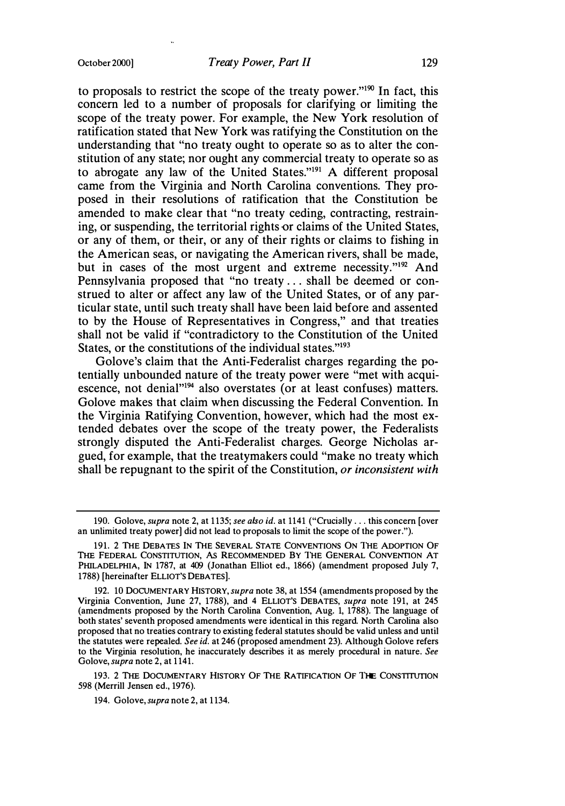to proposals to restrict the scope of the treaty power."190 In fact, this concern led to a number of proposals for clarifying or limiting the scope of the treaty power. For example, the New York resolution of ratification stated that New York was ratifying the Constitution on the understanding that "no treaty ought to operate so as to alter the constitution of any state; nor ought any commercial treaty to operate so as to abrogate any law of the United States.''191 A different proposal came from the Virginia and North Carolina conventions. They proposed in their resolutions of ratification that the Constitution be amended to make clear that "no treaty ceding, contracting, restraining, or suspending, the territorial rights or claims of the United States, or any of them, or their, or any of their rights or claims to fishing in the American seas, or navigating the American rivers, shall be made, but in cases of the most urgent and extreme necessity."<sup>192</sup> And Pennsylvania proposed that "no treaty ... shall be deemed or construed to alter or affect any law of the United States, or of any particular state, until such treaty shall have been laid before and assented to by the House of Representatives in Congress," and that treaties shall not be valid if "contradictory to the Constitution of the United States, or the constitutions of the individual states."193

Golove's claim that the Anti-Federalist charges regarding the potentially unbounded nature of the treaty power were "met with acquiescence, not denial"194 also overstates (or at least confuses) matters. Golove makes that claim when discussing the Federal Convention. In the Virginia Ratifying Convention, however, which had the most extended debates over the scope of the treaty power, the Federalists strongly disputed the Anti-Federalist charges. George Nicholas argued, for example, that the treatymakers could "make no treaty which shall be repugnant to the spirit of the Constitution, or inconsistent with

193. 2 THE DOCUMENTARY HISTORY OF THE RATIFICATION OF THE CONSTITUTION 598 (Merrill Jensen ed., 1976).

194. Golove, supra note 2, at 1134.

<sup>190.</sup> Golove, supra note 2, at 1135; see also id. at 1141 ("Crucially ... this concern [over an unlimited treaty power] did not lead to proposals to limit the scope of the power.").

<sup>191. 2</sup> THE DEBATES IN THE SEVERAL STATE CONVENTIONS ON THE ADOPTION OF THE FEDERAL CONSTITUTION, AS RECOMMENDED BY THE GENERAL CONVENTION AT PHILADELPHIA, IN 1787, at 409 (Jonathan Elliot ed., 1866) (amendment proposed July 7, 1788) [hereinafter ELLIOT'S DEBATES].

<sup>192. 10</sup> DOCUMENTARY HISTORY, supra note 38, at 1554 (amendments proposed by the Virginia Convention, June 27, 1788), and 4 ELLIOT'S DEBATES, supra note 191, at 245 (amendments proposed by the North Carolina Convention, Aug. 1, 1788). The language of both states' seventh proposed amendments were identical in this regard. North Carolina also proposed that no treaties contrary to existing federal statutes should be valid unless and until the statutes were repealed. See id. at 246 (proposed amendment 23). Although Golove refers to the Virginia resolution, he inaccurately describes it as merely procedural in nature. See Golove, supra note 2, at 1141.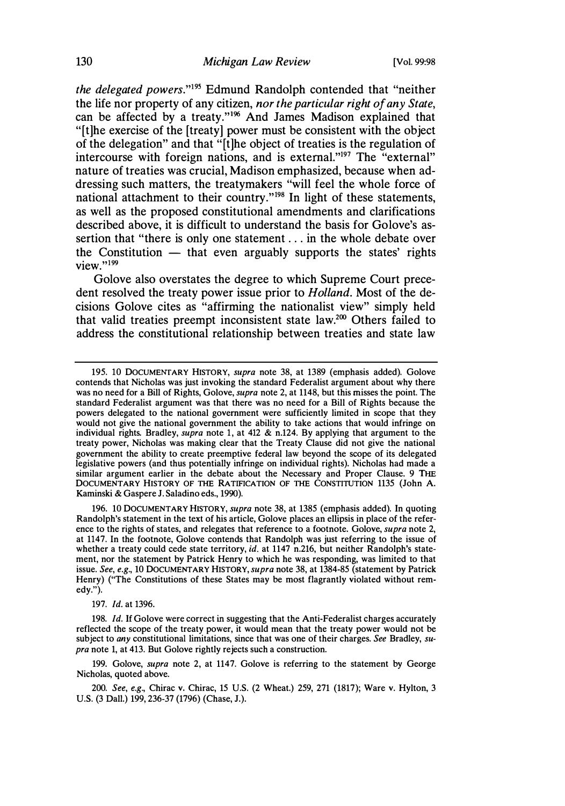the delegated powers."195 Edmund Randolph contended that "neither the life nor property of any citizen, nor the particular right of any State, can be affected by a treaty."196 And James Madison explained that " [t]he exercise of the [treaty] power must be consistent with the object of the delegation" and that " [t]he object of treaties is the regulation of intercourse with foreign nations, and is extemal."197 The "external" nature of treaties was crucial, Madison emphasized, because when addressing such matters, the treatymakers "will feel the whole force of national attachment to their country."198 In light of these statements, as well as the proposed constitutional amendments and clarifications described above, it is difficult to understand the basis for Golove's assertion that "there is only one statement ... in the whole debate over the Constitution  $-$  that even arguably supports the states' rights view."199

Golove also overstates the degree to which Supreme Court precedent resolved the treaty power issue prior to *Holland*. Most of the decisions Golove cites as "affirming the nationalist view" simply held that valid treaties preempt inconsistent state law.<sup>200</sup> Others failed to address the constitutional relationship between treaties and state law

196. 10 DOCUMENTARY HISTORY, supra note 38, at 1385 (emphasis added). In quoting Randolph's statement in the text of his article, Golove places an ellipsis in place of the reference to the rights of states, and relegates that reference to a footnote. Golove, supra note 2, at 1147. In the footnote, Golove contends that Randolph was just referring to the issue of whether a treaty could cede state territory, id. at 1147 n.216, but neither Randolph's statement, nor the statement by Patrick Henry to which he was responding, was limited to that issue. See, e.g., 10 DOCUMENTARY HISTORY, supra note 38, at 1384-85 (statement by Patrick Henry) ("The Constitutions of these States may be most flagrantly violated without remedy.").

197. Id. at 1396.

199. Golove, supra note 2, at 1147. Golove is referring to the statement by George Nicholas, quoted above.

<sup>195. 10</sup> DOCUMENTARY HISTORY, supra note 38, at 1389 (emphasis added). Golove contends that Nicholas was just invoking the standard Federalist argument about why there was no need for a Bill of Rights, Golove, supra note 2, at 1148, but this misses the point. The standard Federalist argument was that there was no need for a Bill of Rights because the powers delegated to the national government were sufficiently limited in scope that they would not give the national government the ability to take actions that would infringe on individual rights. Bradley, supra note 1, at 412 & n.124. By applying that argument to the treaty power, Nicholas was making clear that the Treaty Clause did not give the national government the ability to create preemptive federal law beyond the scope of its delegated legislative powers (and thus potentially infringe on individual rights). Nicholas had made a similar argument earlier in the debate about the Necessary and Proper Clause. 9 THE DOCUMENTARY HISTORY OF THE RATIFICATION OF THE CONSTITIJTION 1135 (John A. Kaminski & Gaspere J. Saladino eds., 1990).

<sup>198.</sup> Id. If Golove were correct in suggesting that the Anti-Federalist charges accurately reflected the scope of the treaty power, it would mean that the treaty power would not be subject to *any* constitutional limitations, since that was one of their charges. See Bradley, supra note 1, at 413. But Golove rightly rejects such a construction.

<sup>200.</sup> See, e.g., Chirac v. Chirac, 15 U.S. (2 Wheat.) 259, 271 (1817); Ware v. Hylton, 3 U.S. (3 Dall.) 199, 236-37 (1796) (Chase, J.).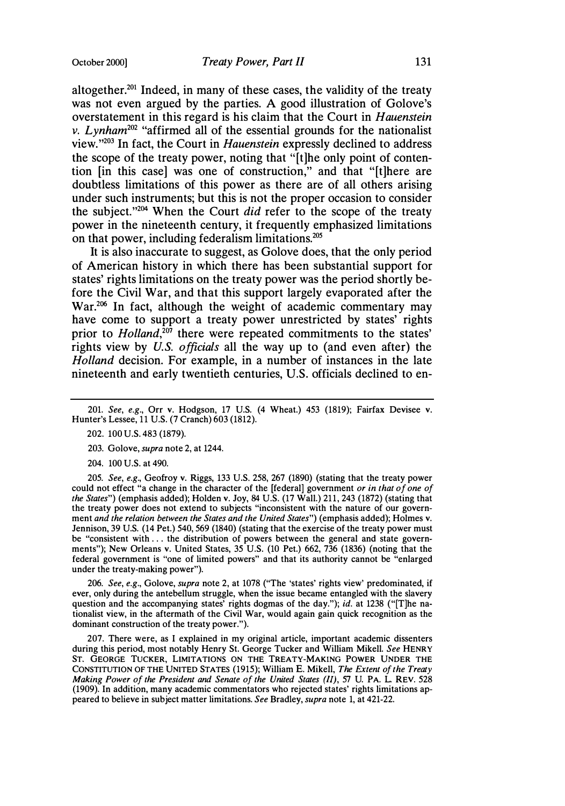altogether.<sup>201</sup> Indeed, in many of these cases, the validity of the treaty was not even argued by the parties. A good illustration of Golove's overstatement in this regard is his claim that the Court in Hauenstein v. Lynham<sup>202</sup> "affirmed all of the essential grounds for the nationalist view."203 In fact, the Court in Hauenstein expressly declined to address the scope of the treaty power, noting that "[t]he only point of contention [in this case] was one of construction," and that "[t]here are doubtless limitations of this power as there are of all others arising under such instruments; but this is not the proper occasion to consider the subject."204 When the Court did refer to the scope of the treaty power in the nineteenth century, it frequently emphasized limitations on that power, including federalism limitations.205

It is also inaccurate to suggest, as Golove does, that the only period of American history in which there has been substantial support for states' rights limitations on the treaty power was the period shortly before the Civil War, and that this support largely evaporated after the War.<sup>206</sup> In fact, although the weight of academic commentary may have come to support a treaty power unrestricted by states' rights prior to  $Holland$ <sup>207</sup> there were repeated commitments to the states' rights view by U.S. officials all the way up to (and even after) the Holland decision. For example, in a number of instances in the late nineteenth and early twentieth centuries, U.S. officials declined to en-

205. See, e.g., Geofroy v. Riggs, 133 U.S. 258, 267 (1890) (stating that the treaty power could not effect "a change in the character of the [federal] government or in that of one of the States") (emphasis added); Holden v. Joy, 84 U.S. (17 Wall.) 211, 243 (1872) (stating that the treaty power does not extend to subjects "inconsistent with the nature of our government and the relation between the States and the United States") (emphasis added); Holmes v. Jennison, 39 U.S. (14 Pet.) 540, 569 (1840) (stating that the exercise of the treaty power must be "consistent with ... the distribution of powers between the general and state governments"); New Orleans v. United States, 35 U.S. (10 Pet.) 662, 736 (1836) (noting that the federal government is "one of limited powers" and that its authority cannot be "enlarged under the treaty-making power").

206. See, e.g., Golove, supra note 2, at 1078 ("The 'states' rights view' predominated, if ever, only during the antebellum struggle, when the issue became entangled with the slavery question and the accompanying states' rights dogmas of the day."); id. at 1238 ("[T]he nationalist view, in the aftermath of the Civil War, would again gain quick recognition as the dominant construction of the treaty power.").

207. There were, as I explained in my original article, important academic dissenters during this period, most notably Henry St. George Tucker and William Mikell. See HENRY ST. GEORGE TUCKER, LIMITATIONS ON THE TREATY-MAKING POWER UNDER THE CONSTITUTION OF THE UNITED STATES (1915); William E. Mikell, The Extent of the Treaty Making Power of the President and Senate of the United States (II), 57 U. PA. L. REV. 528 (1909). In addition, many academic commentators who rejected states' rights limitations appeared to believe in subject matter limitations. See Bradley, supra note 1, at 421-22.

<sup>201.</sup> See, e.g., Orr v. Hodgson, 17 U.S. (4 Wheat.) 453 (1819); Fairfax Devisee v. Hunter's Lessee, 11 U.S. (7 Cranch) 603 (1812).

<sup>202. 100</sup> U.S. 483 (1879).

<sup>203.</sup> Golove, supra note 2, at 1244.

<sup>204. 100</sup> U.S. at 490.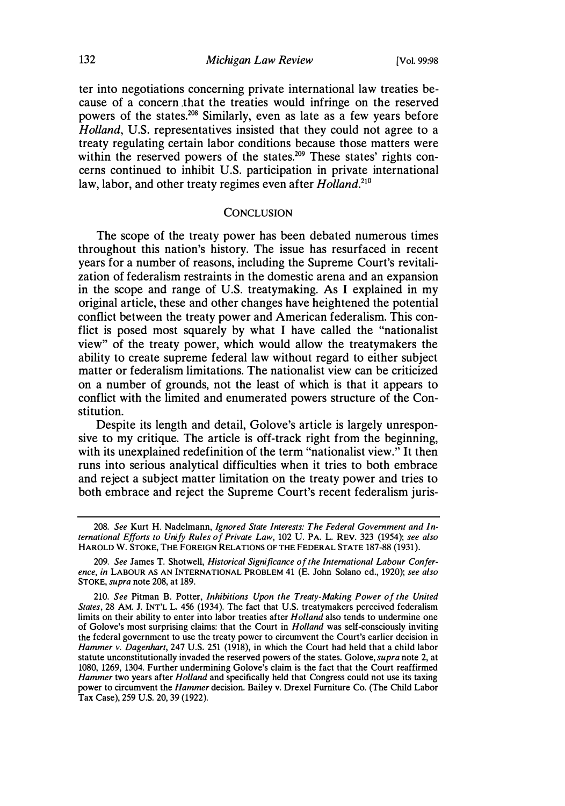ter into negotiations concerning private international law treaties because of a concern .that the treaties would infringe on the reserved powers of the states.208 Similarly, even as late as a few years before Holland, U.S. representatives insisted that they could not agree to a treaty regulating certain labor conditions because those matters were within the reserved powers of the states.<sup>209</sup> These states' rights concerns continued to inhibit U.S. participation in private international law, labor, and other treaty regimes even after *Holland*.<sup>210</sup>

#### **CONCLUSION**

The scope of the treaty power has been debated numerous times throughout this nation's history. The issue has resurfaced in recent years for a number of reasons, including the Supreme Court's revitalization of federalism restraints in the domestic arena and an expansion in the scope and range of U.S. treatymaking. As I explained in my original article, these and other changes have heightened the potential conflict between the treaty power and American federalism. This conflict is posed most squarely by what I have called the "nationalist view" of the treaty power, which would allow the treatymakers the ability to create supreme federal law without regard to either subject matter or federalism limitations. The nationalist view can be criticized on a number of grounds, not the least of which is that it appears to conflict with the limited and enumerated powers structure of the Constitution.

Despite its length and detail, Golove's article is largely unresponsive to my critique. The article is off-track right from the beginning, with its unexplained redefinition of the term "nationalist view." It then runs into serious analytical difficulties when it tries to both embrace and reject a subject matter limitation on the treaty power and tries to both embrace and reject the Supreme Court's recent federalism juris-

<sup>208.</sup> See Kurt H. Nadelmann, Ignored State Interests: The Federal Government and International Efforts to Unify Rules of Private Law, 102 U. PA. L. REV. 323 (1954); see also HAROLD W. STOKE, THE FOREIGN RELATIONS OF THE FEDERAL STATE 187-88 (1931 ).

<sup>209.</sup> See James T. Shotwell, Historical Significance of the International Labour Conference, in LABOUR AS AN INTERNATIONAL PROBLEM 41 (E. John Solano ed., 1920); see also STOKE, supra note 208, at 189.

<sup>210.</sup> See Pitman B. Potter, Inhibitions Upon the Treaty-Making Power of the United States, 28 AM. J. INT'L L. 456 (1934). The fact that U.S. treatymakers perceived federalism limits on their ability to enter into labor treaties after Holland also tends to undermine one of Golove's most surprising claims: that the Court in Holland was self-consciously inviting the federal government to use the treaty power to circumvent the Court's earlier decision in Hammer v. Dagenhart, 247 U.S. 251 (1918), in which the Court had held that a child labor statute unconstitutionally invaded the reserved powers of the states. Golove, supra note 2, at 1080, 1269, 1304. Further undermining Golove's claim is the fact that the Court reaffirmed Hammer two years after Holland and specifically held that Congress could not use its taxing power to circumvent the Hammer decision. Bailey v. Drexel Furniture Co. (The Child Labor Tax Case), 259 U.S. 20, 39 (1922).